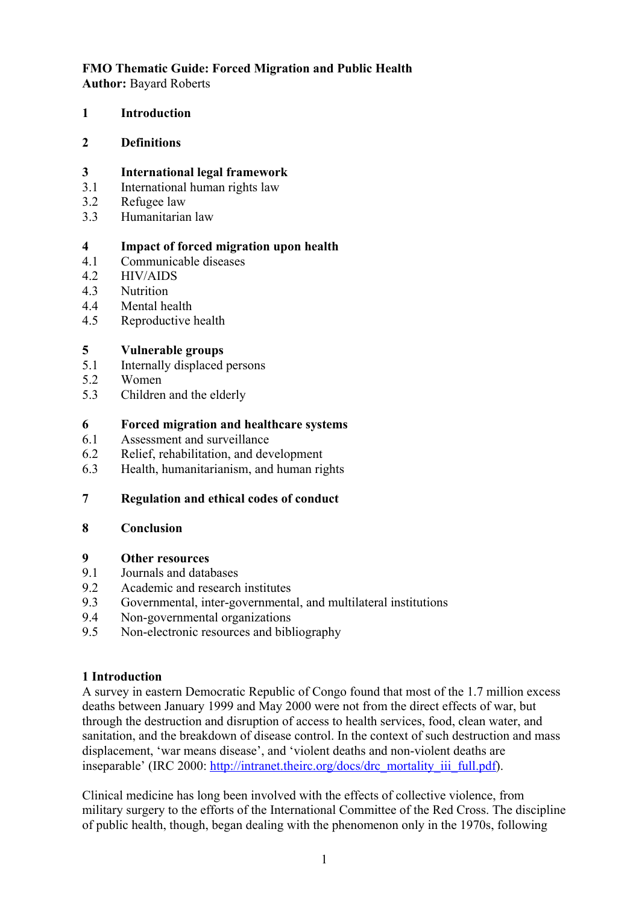# **FMO Thematic Guide: Forced Migration and Public Health**

**Author:** Bayard Roberts

**1 Introduction**

#### **2 Definitions**

#### **3 International legal framework**

- 3.1 International human rights law
- 3.2 Refugee law
- 3.3 Humanitarian law

## **4 Impact of forced migration upon health**

- 4.1 Communicable diseases
- 4.2 HIV/AIDS
- 4.3 Nutrition
- 4.4 Mental health
- 4.5 Reproductive health

## **5 Vulnerable groups**

- 5.1 Internally displaced persons
- 5.2 Women
- 5.3 Children and the elderly

#### **6 Forced migration and healthcare systems**

- 6.1 Assessment and surveillance
- 6.2 Relief, rehabilitation, and development
- 6.3 Health, humanitarianism, and human rights

## **7 Regulation and ethical codes of conduct**

#### **8 Conclusion**

#### **9 Other resources**

- 9.1 Journals and databases
- 9.2 Academic and research institutes
- 9.3 Governmental, inter-governmental, and multilateral institutions
- 9.4 Non-governmental organizations
- 9.5 Non-electronic resources and bibliography

## **1 Introduction**

A survey in eastern Democratic Republic of Congo found that most of the 1.7 million excess deaths between January 1999 and May 2000 were not from the direct effects of war, but through the destruction and disruption of access to health services, food, clean water, and sanitation, and the breakdown of disease control. In the context of such destruction and mass displacement, 'war means disease', and 'violent deaths and non-violent deaths are inseparable' (IRC 2000: [http://intranet.theirc.org/docs/drc\\_mortality\\_iii\\_full.pdf\)](http://intranet.theirc.org/docs/drc_mortality_iii_full.pdf).

Clinical medicine has long been involved with the effects of collective violence, from military surgery to the efforts of the International Committee of the Red Cross. The discipline of public health, though, began dealing with the phenomenon only in the 1970s, following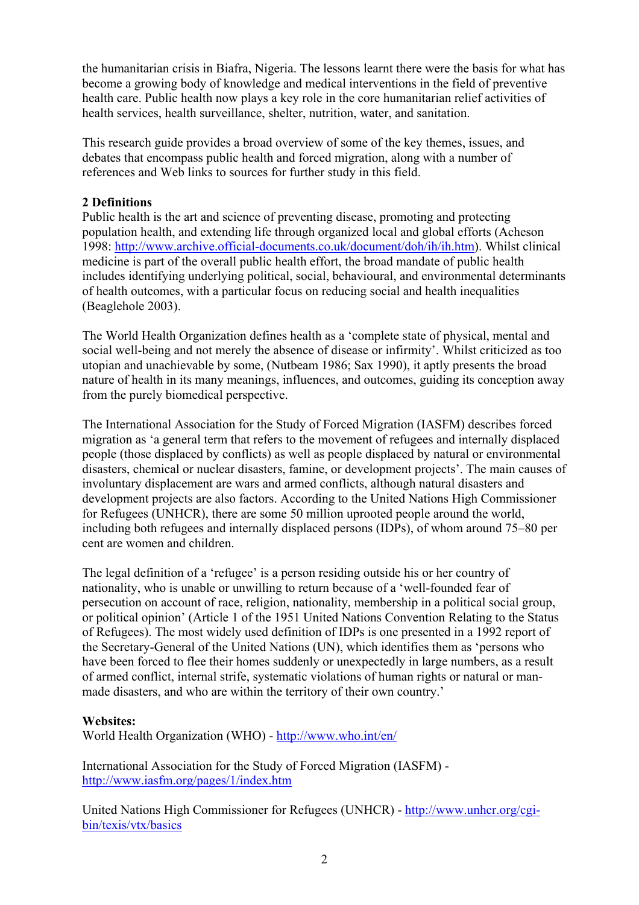the humanitarian crisis in Biafra, Nigeria. The lessons learnt there were the basis for what has become a growing body of knowledge and medical interventions in the field of preventive health care. Public health now plays a key role in the core humanitarian relief activities of health services, health surveillance, shelter, nutrition, water, and sanitation.

This research guide provides a broad overview of some of the key themes, issues, and debates that encompass public health and forced migration, along with a number of references and Web links to sources for further study in this field.

## **2 Definitions**

Public health is the art and science of preventing disease, promoting and protecting population health, and extending life through organized local and global efforts (Acheson 1998: [http://www.archive.official-documents.co.uk/document/doh/ih/ih.htm\)](http://www.archive.official-documents.co.uk/document/doh/ih/ih.htm). Whilst clinical medicine is part of the overall public health effort, the broad mandate of public health includes identifying underlying political, social, behavioural, and environmental determinants of health outcomes, with a particular focus on reducing social and health inequalities (Beaglehole 2003).

The World Health Organization defines health as a 'complete state of physical, mental and social well-being and not merely the absence of disease or infirmity'. Whilst criticized as too utopian and unachievable by some, (Nutbeam 1986; Sax 1990), it aptly presents the broad nature of health in its many meanings, influences, and outcomes, guiding its conception away from the purely biomedical perspective.

The International Association for the Study of Forced Migration (IASFM) describes forced migration as 'a general term that refers to the movement of refugees and internally displaced people (those displaced by conflicts) as well as people displaced by natural or environmental disasters, chemical or nuclear disasters, famine, or development projects'. The main causes of involuntary displacement are wars and armed conflicts, although natural disasters and development projects are also factors. According to the United Nations High Commissioner for Refugees (UNHCR), there are some 50 million uprooted people around the world, including both refugees and internally displaced persons (IDPs), of whom around 75–80 per cent are women and children.

The legal definition of a 'refugee' is a person residing outside his or her country of nationality, who is unable or unwilling to return because of a 'well-founded fear of persecution on account of race, religion, nationality, membership in a political social group, or political opinion' (Article 1 of the 1951 United Nations Convention Relating to the Status of Refugees). The most widely used definition of IDPs is one presented in a 1992 report of the Secretary-General of the United Nations (UN), which identifies them as 'persons who have been forced to flee their homes suddenly or unexpectedly in large numbers, as a result of armed conflict, internal strife, systematic violations of human rights or natural or manmade disasters, and who are within the territory of their own country.'

## **Websites:**

World Health Organization (WHO) -<http://www.who.int/en/>

International Association for the Study of Forced Migration (IASFM) <http://www.iasfm.org/pages/1/index.htm>

United Nations High Commissioner for Refugees (UNHCR) - [http://www.unhcr.org/cgi](http://www.unhcr.org/cgi-bin/texis/vtx/basics)[bin/texis/vtx/basics](http://www.unhcr.org/cgi-bin/texis/vtx/basics)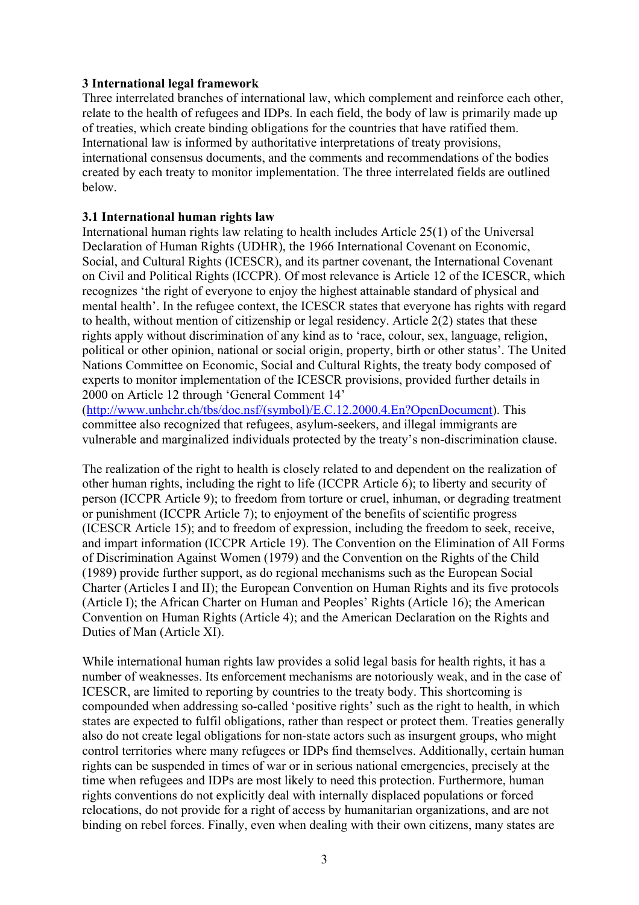#### **3 International legal framework**

Three interrelated branches of international law, which complement and reinforce each other, relate to the health of refugees and IDPs. In each field, the body of law is primarily made up of treaties, which create binding obligations for the countries that have ratified them. International law is informed by authoritative interpretations of treaty provisions, international consensus documents, and the comments and recommendations of the bodies created by each treaty to monitor implementation. The three interrelated fields are outlined below.

#### **3.1 International human rights law**

International human rights law relating to health includes Article 25(1) of the Universal Declaration of Human Rights (UDHR), the 1966 International Covenant on Economic, Social, and Cultural Rights (ICESCR), and its partner covenant, the International Covenant on Civil and Political Rights (ICCPR). Of most relevance is Article 12 of the ICESCR, which recognizes 'the right of everyone to enjoy the highest attainable standard of physical and mental health'. In the refugee context, the ICESCR states that everyone has rights with regard to health, without mention of citizenship or legal residency. Article 2(2) states that these rights apply without discrimination of any kind as to 'race, colour, sex, language, religion, political or other opinion, national or social origin, property, birth or other status'. The United Nations Committee on Economic, Social and Cultural Rights, the treaty body composed of experts to monitor implementation of the ICESCR provisions, provided further details in 2000 on Article 12 through 'General Comment 14'

([http://www.unhchr.ch/tbs/doc.nsf/\(symbol\)/E.C.12.2000.4.En?OpenDocument\)](http://www.unhchr.ch/tbs/doc.nsf/(symbol)/E.C.12.2000.4.En?OpenDocument). This committee also recognized that refugees, asylum-seekers, and illegal immigrants are vulnerable and marginalized individuals protected by the treaty's non-discrimination clause.

The realization of the right to health is closely related to and dependent on the realization of other human rights, including the right to life (ICCPR Article 6); to liberty and security of person (ICCPR Article 9); to freedom from torture or cruel, inhuman, or degrading treatment or punishment (ICCPR Article 7); to enjoyment of the benefits of scientific progress (ICESCR Article 15); and to freedom of expression, including the freedom to seek, receive, and impart information (ICCPR Article 19). The Convention on the Elimination of All Forms of Discrimination Against Women (1979) and the Convention on the Rights of the Child (1989) provide further support, as do regional mechanisms such as the European Social Charter (Articles I and II); the European Convention on Human Rights and its five protocols (Article I); the African Charter on Human and Peoples' Rights (Article 16); the American Convention on Human Rights (Article 4); and the American Declaration on the Rights and Duties of Man (Article XI).

While international human rights law provides a solid legal basis for health rights, it has a number of weaknesses. Its enforcement mechanisms are notoriously weak, and in the case of ICESCR, are limited to reporting by countries to the treaty body. This shortcoming is compounded when addressing so-called 'positive rights' such as the right to health, in which states are expected to fulfil obligations, rather than respect or protect them. Treaties generally also do not create legal obligations for non-state actors such as insurgent groups, who might control territories where many refugees or IDPs find themselves. Additionally, certain human rights can be suspended in times of war or in serious national emergencies, precisely at the time when refugees and IDPs are most likely to need this protection. Furthermore, human rights conventions do not explicitly deal with internally displaced populations or forced relocations, do not provide for a right of access by humanitarian organizations, and are not binding on rebel forces. Finally, even when dealing with their own citizens, many states are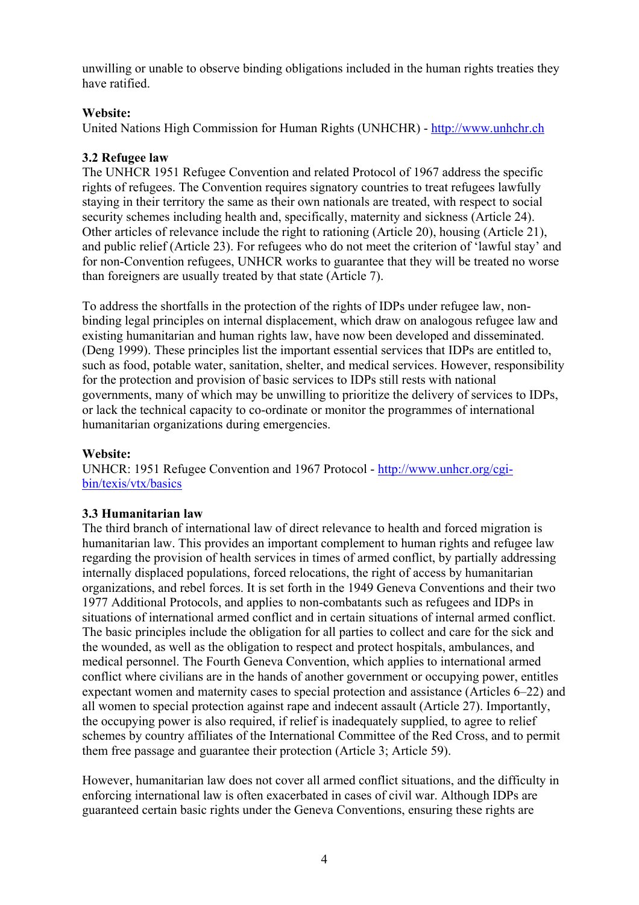unwilling or unable to observe binding obligations included in the human rights treaties they have ratified.

# **Website:**

United Nations High Commission for Human Rights (UNHCHR) - [http://www.unhchr.ch](http://www.unhchr.ch/)

# **3.2 Refugee law**

The UNHCR 1951 Refugee Convention and related Protocol of 1967 address the specific rights of refugees. The Convention requires signatory countries to treat refugees lawfully staying in their territory the same as their own nationals are treated, with respect to social security schemes including health and, specifically, maternity and sickness (Article 24). Other articles of relevance include the right to rationing (Article 20), housing (Article 21), and public relief (Article 23). For refugees who do not meet the criterion of 'lawful stay' and for non-Convention refugees, UNHCR works to guarantee that they will be treated no worse than foreigners are usually treated by that state (Article 7).

To address the shortfalls in the protection of the rights of IDPs under refugee law, nonbinding legal principles on internal displacement, which draw on analogous refugee law and existing humanitarian and human rights law, have now been developed and disseminated. (Deng 1999). These principles list the important essential services that IDPs are entitled to, such as food, potable water, sanitation, shelter, and medical services. However, responsibility for the protection and provision of basic services to IDPs still rests with national governments, many of which may be unwilling to prioritize the delivery of services to IDPs, or lack the technical capacity to co-ordinate or monitor the programmes of international humanitarian organizations during emergencies.

## **Website:**

UNHCR: 1951 Refugee Convention and 1967 Protocol - [http://www.unhcr.org/cgi](http://www.unhcr.org/cgi-bin/texis/vtx/basics)[bin/texis/vtx/basics](http://www.unhcr.org/cgi-bin/texis/vtx/basics)

## **3.3 Humanitarian law**

The third branch of international law of direct relevance to health and forced migration is humanitarian law. This provides an important complement to human rights and refugee law regarding the provision of health services in times of armed conflict, by partially addressing internally displaced populations, forced relocations, the right of access by humanitarian organizations, and rebel forces. It is set forth in the 1949 Geneva Conventions and their two 1977 Additional Protocols, and applies to non-combatants such as refugees and IDPs in situations of international armed conflict and in certain situations of internal armed conflict. The basic principles include the obligation for all parties to collect and care for the sick and the wounded, as well as the obligation to respect and protect hospitals, ambulances, and medical personnel. The Fourth Geneva Convention, which applies to international armed conflict where civilians are in the hands of another government or occupying power, entitles expectant women and maternity cases to special protection and assistance (Articles 6–22) and all women to special protection against rape and indecent assault (Article 27). Importantly, the occupying power is also required, if relief is inadequately supplied, to agree to relief schemes by country affiliates of the International Committee of the Red Cross, and to permit them free passage and guarantee their protection (Article 3; Article 59).

However, humanitarian law does not cover all armed conflict situations, and the difficulty in enforcing international law is often exacerbated in cases of civil war. Although IDPs are guaranteed certain basic rights under the Geneva Conventions, ensuring these rights are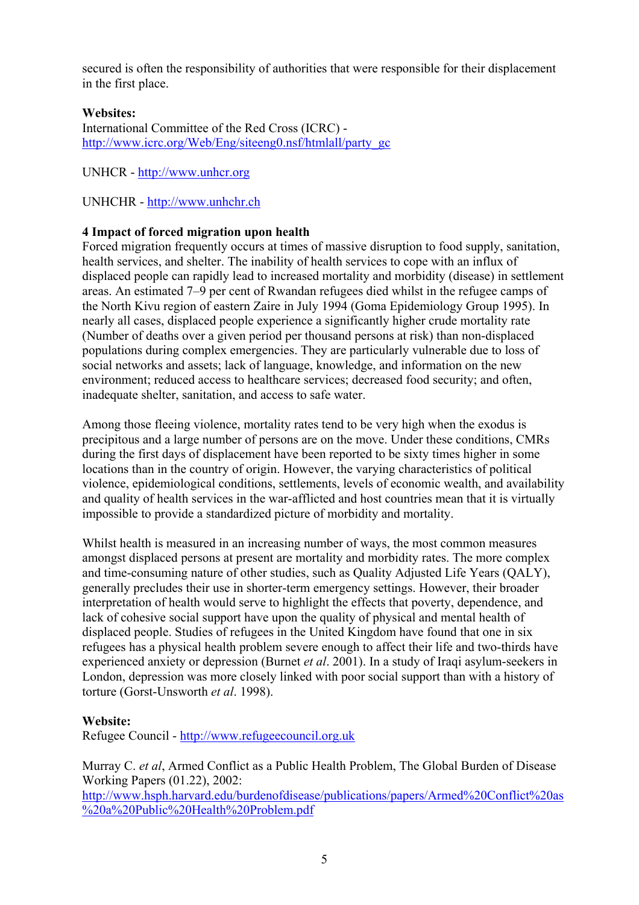secured is often the responsibility of authorities that were responsible for their displacement in the first place.

## **Websites:**

International Committee of the Red Cross (ICRC) [http://www.icrc.org/Web/Eng/siteeng0.nsf/htmlall/party\\_gc](http://www.icrc.org/Web/Eng/siteeng0.nsf/htmlall/party_gc)

UNHCR - [http://www.unhcr.org](http://www.unhcr.org/)

UNHCHR - [http://www.unhchr.ch](http://www.unhchr.ch/)

#### **4 Impact of forced migration upon health**

Forced migration frequently occurs at times of massive disruption to food supply, sanitation, health services, and shelter. The inability of health services to cope with an influx of displaced people can rapidly lead to increased mortality and morbidity (disease) in settlement areas. An estimated 7–9 per cent of Rwandan refugees died whilst in the refugee camps of the North Kivu region of eastern Zaire in July 1994 (Goma Epidemiology Group 1995). In nearly all cases, displaced people experience a significantly higher crude mortality rate (Number of deaths over a given period per thousand persons at risk) than non-displaced populations during complex emergencies. They are particularly vulnerable due to loss of social networks and assets; lack of language, knowledge, and information on the new environment; reduced access to healthcare services; decreased food security; and often, inadequate shelter, sanitation, and access to safe water.

Among those fleeing violence, mortality rates tend to be very high when the exodus is precipitous and a large number of persons are on the move. Under these conditions, CMRs during the first days of displacement have been reported to be sixty times higher in some locations than in the country of origin. However, the varying characteristics of political violence, epidemiological conditions, settlements, levels of economic wealth, and availability and quality of health services in the war-afflicted and host countries mean that it is virtually impossible to provide a standardized picture of morbidity and mortality.

Whilst health is measured in an increasing number of ways, the most common measures amongst displaced persons at present are mortality and morbidity rates. The more complex and time-consuming nature of other studies, such as Quality Adjusted Life Years (QALY), generally precludes their use in shorter-term emergency settings. However, their broader interpretation of health would serve to highlight the effects that poverty, dependence, and lack of cohesive social support have upon the quality of physical and mental health of displaced people. Studies of refugees in the United Kingdom have found that one in six refugees has a physical health problem severe enough to affect their life and two-thirds have experienced anxiety or depression (Burnet *et al*. 2001). In a study of Iraqi asylum-seekers in London, depression was more closely linked with poor social support than with a history of torture (Gorst-Unsworth *et al*. 1998).

#### **Website:**

Refugee Council - [http://www.refugeecouncil.org.uk](http://www.refugeecouncil.org.uk/)

Murray C. *et al*, Armed Conflict as a Public Health Problem, The Global Burden of Disease Working Papers (01.22), 2002:

[http://www.hsph.harvard.edu/burdenofdisease/publications/papers/Armed%20Conflict%20as](http://www.hsph.harvard.edu/burdenofdisease/publications/papers/Armed Conflict as a Public Health Problem.pdf) [%20a%20Public%20Health%20Problem.pdf](http://www.hsph.harvard.edu/burdenofdisease/publications/papers/Armed Conflict as a Public Health Problem.pdf)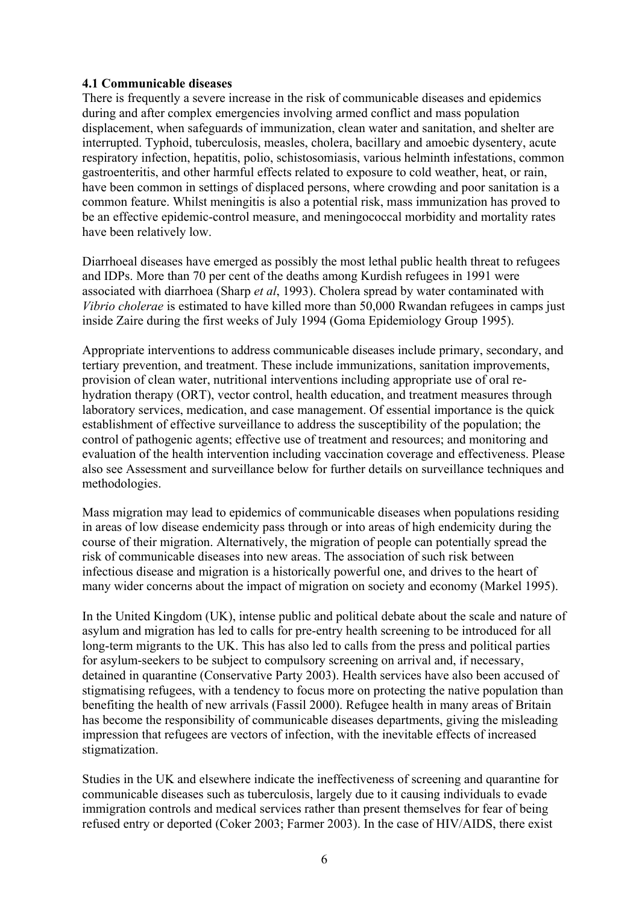#### **4.1 Communicable diseases**

There is frequently a severe increase in the risk of communicable diseases and epidemics during and after complex emergencies involving armed conflict and mass population displacement, when safeguards of immunization, clean water and sanitation, and shelter are interrupted. Typhoid, tuberculosis, measles, cholera, bacillary and amoebic dysentery, acute respiratory infection, hepatitis, polio, schistosomiasis, various helminth infestations, common gastroenteritis, and other harmful effects related to exposure to cold weather, heat, or rain, have been common in settings of displaced persons, where crowding and poor sanitation is a common feature. Whilst meningitis is also a potential risk, mass immunization has proved to be an effective epidemic-control measure, and meningococcal morbidity and mortality rates have been relatively low.

Diarrhoeal diseases have emerged as possibly the most lethal public health threat to refugees and IDPs. More than 70 per cent of the deaths among Kurdish refugees in 1991 were associated with diarrhoea (Sharp *et al*, 1993). Cholera spread by water contaminated with *Vibrio cholerae* is estimated to have killed more than 50,000 Rwandan refugees in camps just inside Zaire during the first weeks of July 1994 (Goma Epidemiology Group 1995).

Appropriate interventions to address communicable diseases include primary, secondary, and tertiary prevention, and treatment. These include immunizations, sanitation improvements, provision of clean water, nutritional interventions including appropriate use of oral rehydration therapy (ORT), vector control, health education, and treatment measures through laboratory services, medication, and case management. Of essential importance is the quick establishment of effective surveillance to address the susceptibility of the population; the control of pathogenic agents; effective use of treatment and resources; and monitoring and evaluation of the health intervention including vaccination coverage and effectiveness. Please also see Assessment and surveillance below for further details on surveillance techniques and methodologies.

Mass migration may lead to epidemics of communicable diseases when populations residing in areas of low disease endemicity pass through or into areas of high endemicity during the course of their migration. Alternatively, the migration of people can potentially spread the risk of communicable diseases into new areas. The association of such risk between infectious disease and migration is a historically powerful one, and drives to the heart of many wider concerns about the impact of migration on society and economy (Markel 1995).

In the United Kingdom (UK), intense public and political debate about the scale and nature of asylum and migration has led to calls for pre-entry health screening to be introduced for all long-term migrants to the UK. This has also led to calls from the press and political parties for asylum-seekers to be subject to compulsory screening on arrival and, if necessary, detained in quarantine (Conservative Party 2003). Health services have also been accused of stigmatising refugees, with a tendency to focus more on protecting the native population than benefiting the health of new arrivals (Fassil 2000). Refugee health in many areas of Britain has become the responsibility of communicable diseases departments, giving the misleading impression that refugees are vectors of infection, with the inevitable effects of increased stigmatization.

Studies in the UK and elsewhere indicate the ineffectiveness of screening and quarantine for communicable diseases such as tuberculosis, largely due to it causing individuals to evade immigration controls and medical services rather than present themselves for fear of being refused entry or deported (Coker 2003; Farmer 2003). In the case of HIV/AIDS, there exist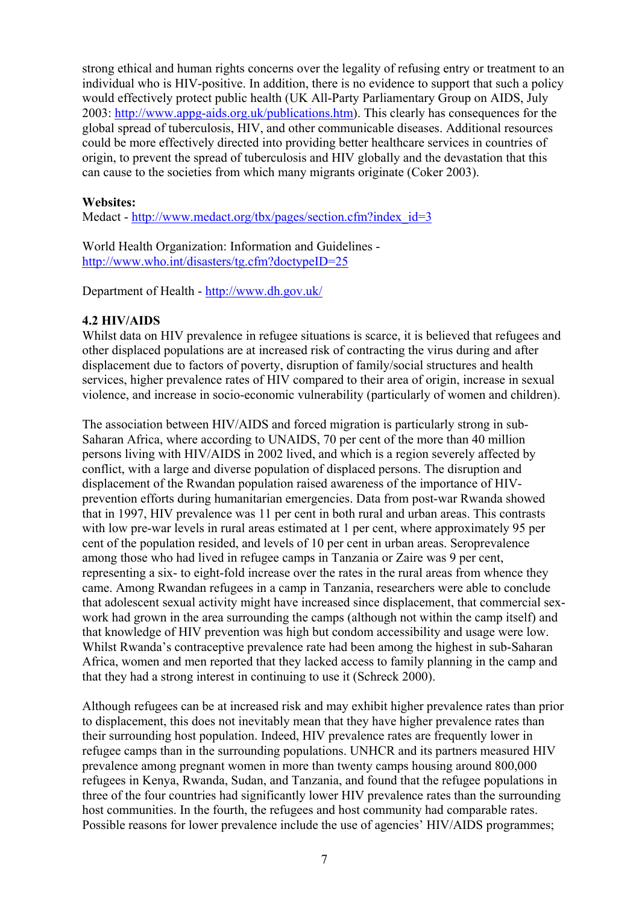strong ethical and human rights concerns over the legality of refusing entry or treatment to an individual who is HIV-positive. In addition, there is no evidence to support that such a policy would effectively protect public health (UK All-Party Parliamentary Group on AIDS, July 2003: [http://www.appg-aids.org.uk/publications.htm\)](http://www.appg-aids.org.uk/publications.htm). This clearly has consequences for the global spread of tuberculosis, HIV, and other communicable diseases. Additional resources could be more effectively directed into providing better healthcare services in countries of origin, to prevent the spread of tuberculosis and HIV globally and the devastation that this can cause to the societies from which many migrants originate (Coker 2003).

#### **Websites:**

Medact - [http://www.medact.org/tbx/pages/section.cfm?index\\_id=3](http://www.medact.org/tbx/pages/section.cfm?index_id=3)

World Health Organization: Information and Guidelines <http://www.who.int/disasters/tg.cfm?doctypeID=25>

Department of Health -<http://www.dh.gov.uk/>

#### **4.2 HIV/AIDS**

Whilst data on HIV prevalence in refugee situations is scarce, it is believed that refugees and other displaced populations are at increased risk of contracting the virus during and after displacement due to factors of poverty, disruption of family/social structures and health services, higher prevalence rates of HIV compared to their area of origin, increase in sexual violence, and increase in socio-economic vulnerability (particularly of women and children).

The association between HIV/AIDS and forced migration is particularly strong in sub-Saharan Africa, where according to UNAIDS, 70 per cent of the more than 40 million persons living with HIV/AIDS in 2002 lived, and which is a region severely affected by conflict, with a large and diverse population of displaced persons. The disruption and displacement of the Rwandan population raised awareness of the importance of HIVprevention efforts during humanitarian emergencies. Data from post-war Rwanda showed that in 1997, HIV prevalence was 11 per cent in both rural and urban areas. This contrasts with low pre-war levels in rural areas estimated at 1 per cent, where approximately 95 per cent of the population resided, and levels of 10 per cent in urban areas. Seroprevalence among those who had lived in refugee camps in Tanzania or Zaire was 9 per cent, representing a six- to eight-fold increase over the rates in the rural areas from whence they came. Among Rwandan refugees in a camp in Tanzania, researchers were able to conclude that adolescent sexual activity might have increased since displacement, that commercial sexwork had grown in the area surrounding the camps (although not within the camp itself) and that knowledge of HIV prevention was high but condom accessibility and usage were low. Whilst Rwanda's contraceptive prevalence rate had been among the highest in sub-Saharan Africa, women and men reported that they lacked access to family planning in the camp and that they had a strong interest in continuing to use it (Schreck 2000).

Although refugees can be at increased risk and may exhibit higher prevalence rates than prior to displacement, this does not inevitably mean that they have higher prevalence rates than their surrounding host population. Indeed, HIV prevalence rates are frequently lower in refugee camps than in the surrounding populations. UNHCR and its partners measured HIV prevalence among pregnant women in more than twenty camps housing around 800,000 refugees in Kenya, Rwanda, Sudan, and Tanzania, and found that the refugee populations in three of the four countries had significantly lower HIV prevalence rates than the surrounding host communities. In the fourth, the refugees and host community had comparable rates. Possible reasons for lower prevalence include the use of agencies' HIV/AIDS programmes;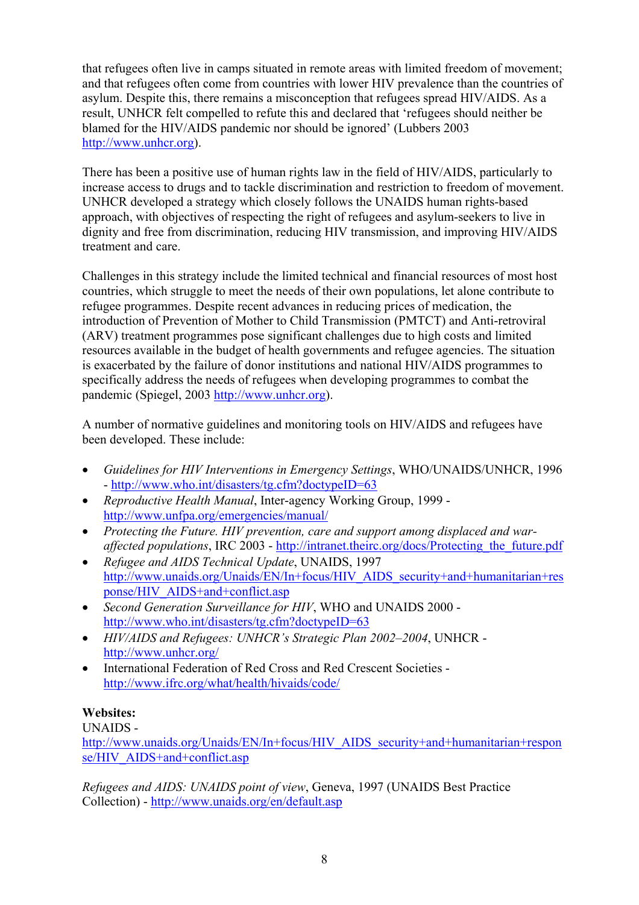that refugees often live in camps situated in remote areas with limited freedom of movement; and that refugees often come from countries with lower HIV prevalence than the countries of asylum. Despite this, there remains a misconception that refugees spread HIV/AIDS. As a result, UNHCR felt compelled to refute this and declared that 'refugees should neither be blamed for the HIV/AIDS pandemic nor should be ignored' (Lubbers 2003 [http://www.unhcr.org\)](http://www.unhcr.org/).

There has been a positive use of human rights law in the field of HIV/AIDS, particularly to increase access to drugs and to tackle discrimination and restriction to freedom of movement. UNHCR developed a strategy which closely follows the UNAIDS human rights-based approach, with objectives of respecting the right of refugees and asylum-seekers to live in dignity and free from discrimination, reducing HIV transmission, and improving HIV/AIDS treatment and care.

Challenges in this strategy include the limited technical and financial resources of most host countries, which struggle to meet the needs of their own populations, let alone contribute to refugee programmes. Despite recent advances in reducing prices of medication, the introduction of Prevention of Mother to Child Transmission (PMTCT) and Anti-retroviral (ARV) treatment programmes pose significant challenges due to high costs and limited resources available in the budget of health governments and refugee agencies. The situation is exacerbated by the failure of donor institutions and national HIV/AIDS programmes to specifically address the needs of refugees when developing programmes to combat the pandemic (Spiegel, 2003 [http://www.unhcr.org](http://www.unhcr.org/)).

A number of normative guidelines and monitoring tools on HIV/AIDS and refugees have been developed. These include:

- *Guidelines for HIV Interventions in Emergency Settings*, WHO/UNAIDS/UNHCR, 1996 -<http://www.who.int/disasters/tg.cfm?doctypeID=63>
- *Reproductive Health Manual*, Inter-agency Working Group, 1999 [http://www.unfpa.org/emergencies/manual/](http://www.who.int/reproductive-health/publications/RHR_00_13_RH_conflict_and_displacement/PDF_RHR_00_13/RH_conflict_table_of_contents_pdf.en.html)
- *Protecting the Future. HIV prevention, care and support among displaced and waraffected populations*, IRC 2003 - [http://intranet.theirc.org/docs/Protecting\\_the\\_future.pdf](http://intranet.theirc.org/docs/Protecting_the_future.pdf)
- *Refugee and AIDS Technical Update*, UNAIDS, 1997 [http://www.unaids.org/Unaids/EN/In+focus/HIV\\_AIDS\\_security+and+humanitarian+res](http://www.unaids.org/Unaids/EN/In+focus/HIV_AIDS_security+and+humanitarian+response/HIV_AIDS+and+conflict.asp) [ponse/HIV\\_AIDS+and+conflict.asp](http://www.unaids.org/Unaids/EN/In+focus/HIV_AIDS_security+and+humanitarian+response/HIV_AIDS+and+conflict.asp)
- *Second Generation Surveillance for HIV*, WHO and UNAIDS 2000 <http://www.who.int/disasters/tg.cfm?doctypeID=63>
- *HIV/AIDS and Refugees: UNHCR's Strategic Plan 2002*–*2004*, UNHCR <http://www.unhcr.org/>
- International Federation of Red Cross and Red Crescent Societies <http://www.ifrc.org/what/health/hivaids/code/>

# **Websites:**

# UNAIDS -

[http://www.unaids.org/Unaids/EN/In+focus/HIV\\_AIDS\\_security+and+humanitarian+respon](http://www.unaids.org/Unaids/EN/In+focus/HIV_AIDS_security+and+humanitarian+response/HIV_AIDS+and+conflict.asp) [se/HIV\\_AIDS+and+conflict.asp](http://www.unaids.org/Unaids/EN/In+focus/HIV_AIDS_security+and+humanitarian+response/HIV_AIDS+and+conflict.asp)

*Refugees and AIDS: UNAIDS point of view*, Geneva, 1997 (UNAIDS Best Practice Collection) - <http://www.unaids.org/en/default.asp>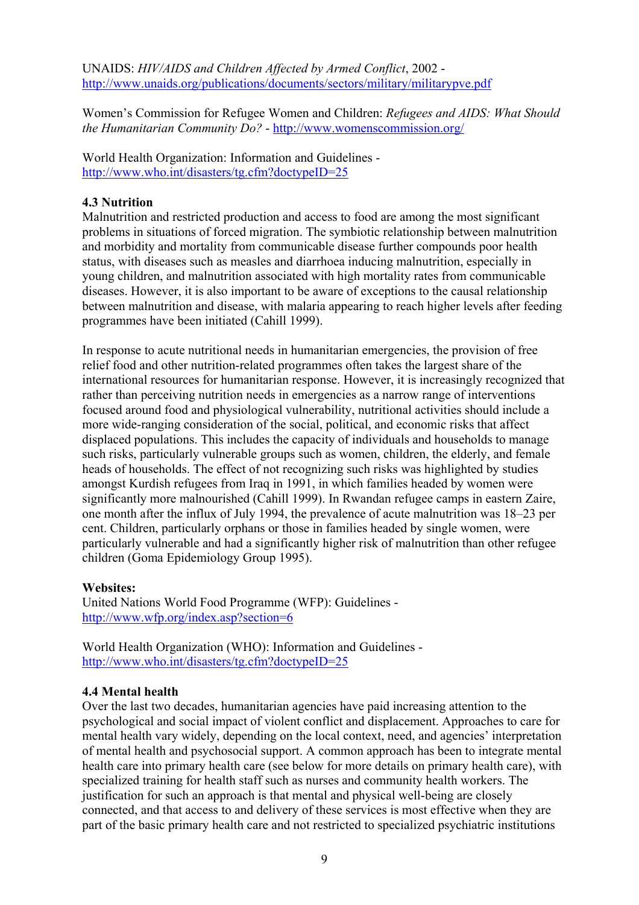UNAIDS: *HIV/AIDS and Children Affected by Armed Conflict*, 2002 <http://www.unaids.org/publications/documents/sectors/military/militarypve.pdf>

Women's Commission for Refugee Women and Children: *Refugees and AIDS: What Should the Humanitarian Community Do?* -<http://www.womenscommission.org/>

World Health Organization: Information and Guidelines <http://www.who.int/disasters/tg.cfm?doctypeID=25>

#### **4.3 Nutrition**

Malnutrition and restricted production and access to food are among the most significant problems in situations of forced migration. The symbiotic relationship between malnutrition and morbidity and mortality from communicable disease further compounds poor health status, with diseases such as measles and diarrhoea inducing malnutrition, especially in young children, and malnutrition associated with high mortality rates from communicable diseases. However, it is also important to be aware of exceptions to the causal relationship between malnutrition and disease, with malaria appearing to reach higher levels after feeding programmes have been initiated (Cahill 1999).

In response to acute nutritional needs in humanitarian emergencies, the provision of free relief food and other nutrition-related programmes often takes the largest share of the international resources for humanitarian response. However, it is increasingly recognized that rather than perceiving nutrition needs in emergencies as a narrow range of interventions focused around food and physiological vulnerability, nutritional activities should include a more wide-ranging consideration of the social, political, and economic risks that affect displaced populations. This includes the capacity of individuals and households to manage such risks, particularly vulnerable groups such as women, children, the elderly, and female heads of households. The effect of not recognizing such risks was highlighted by studies amongst Kurdish refugees from Iraq in 1991, in which families headed by women were significantly more malnourished (Cahill 1999). In Rwandan refugee camps in eastern Zaire, one month after the influx of July 1994, the prevalence of acute malnutrition was 18–23 per cent. Children, particularly orphans or those in families headed by single women, were particularly vulnerable and had a significantly higher risk of malnutrition than other refugee children (Goma Epidemiology Group 1995).

#### **Websites:**

United Nations World Food Programme (WFP): Guidelines <http://www.wfp.org/index.asp?section=6>

World Health Organization (WHO): Information and Guidelines <http://www.who.int/disasters/tg.cfm?doctypeID=25>

#### **4.4 Mental health**

Over the last two decades, humanitarian agencies have paid increasing attention to the psychological and social impact of violent conflict and displacement. Approaches to care for mental health vary widely, depending on the local context, need, and agencies' interpretation of mental health and psychosocial support. A common approach has been to integrate mental health care into primary health care (see below for more details on primary health care), with specialized training for health staff such as nurses and community health workers. The justification for such an approach is that mental and physical well-being are closely connected, and that access to and delivery of these services is most effective when they are part of the basic primary health care and not restricted to specialized psychiatric institutions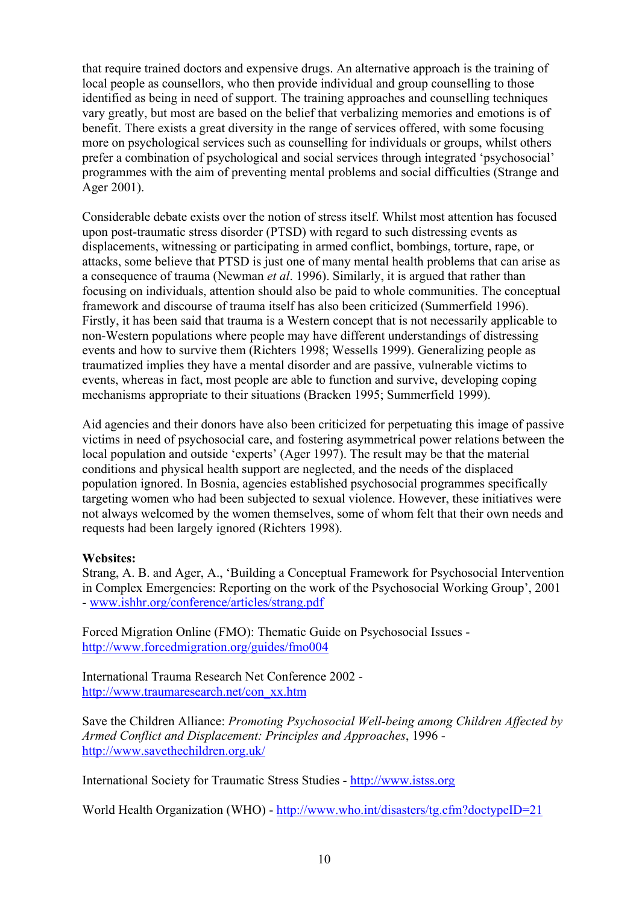that require trained doctors and expensive drugs. An alternative approach is the training of local people as counsellors, who then provide individual and group counselling to those identified as being in need of support. The training approaches and counselling techniques vary greatly, but most are based on the belief that verbalizing memories and emotions is of benefit. There exists a great diversity in the range of services offered, with some focusing more on psychological services such as counselling for individuals or groups, whilst others prefer a combination of psychological and social services through integrated 'psychosocial' programmes with the aim of preventing mental problems and social difficulties (Strange and Ager 2001).

Considerable debate exists over the notion of stress itself. Whilst most attention has focused upon post-traumatic stress disorder (PTSD) with regard to such distressing events as displacements, witnessing or participating in armed conflict, bombings, torture, rape, or attacks, some believe that PTSD is just one of many mental health problems that can arise as a consequence of trauma (Newman *et al*. 1996). Similarly, it is argued that rather than focusing on individuals, attention should also be paid to whole communities. The conceptual framework and discourse of trauma itself has also been criticized (Summerfield 1996). Firstly, it has been said that trauma is a Western concept that is not necessarily applicable to non-Western populations where people may have different understandings of distressing events and how to survive them (Richters 1998; Wessells 1999). Generalizing people as traumatized implies they have a mental disorder and are passive, vulnerable victims to events, whereas in fact, most people are able to function and survive, developing coping mechanisms appropriate to their situations (Bracken 1995; Summerfield 1999).

Aid agencies and their donors have also been criticized for perpetuating this image of passive victims in need of psychosocial care, and fostering asymmetrical power relations between the local population and outside 'experts' (Ager 1997). The result may be that the material conditions and physical health support are neglected, and the needs of the displaced population ignored. In Bosnia, agencies established psychosocial programmes specifically targeting women who had been subjected to sexual violence. However, these initiatives were not always welcomed by the women themselves, some of whom felt that their own needs and requests had been largely ignored (Richters 1998).

## **Websites:**

Strang, A. B. and Ager, A., 'Building a Conceptual Framework for Psychosocial Intervention in Complex Emergencies: Reporting on the work of the Psychosocial Working Group', 2001 - [www.ishhr.org/conference/articles/strang.pdf](http://www.ishhr.org/conference/articles/strang.pdf)

Forced Migration Online (FMO): Thematic Guide on Psychosocial Issues <http://www.forcedmigration.org/guides/fmo004>

International Trauma Research Net Conference 2002 [http://www.traumaresearch.net/con\\_xx.htm](http://www.traumaresearch.net/con_xx.htm)

Save the Children Alliance: *Promoting Psychosocial Well-being among Children Affected by Armed Conflict and Displacement: Principles and Approaches*, 1996 <http://www.savethechildren.org.uk/>

International Society for Traumatic Stress Studies - [http://www.istss.org](http://www.istss.org/)

World Health Organization (WHO) -<http://www.who.int/disasters/tg.cfm?doctypeID=21>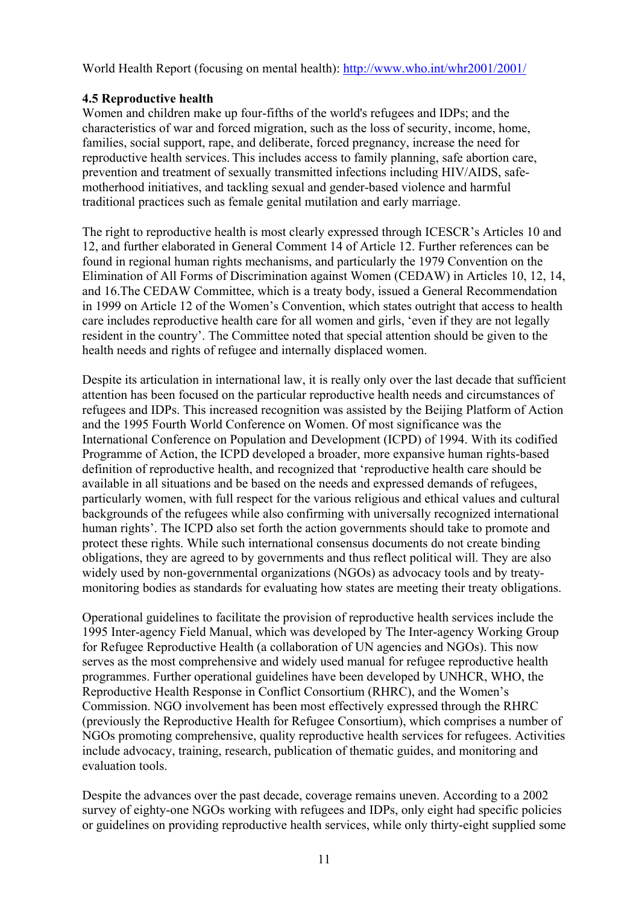World Health Report (focusing on mental health): <http://www.who.int/whr2001/2001/>

## **4.5 Reproductive health**

Women and children make up four-fifths of the world's refugees and IDPs; and the characteristics of war and forced migration, such as the loss of security, income, home, families, social support, rape, and deliberate, forced pregnancy, increase the need for reproductive health services. This includes access to family planning, safe abortion care, prevention and treatment of sexually transmitted infections including HIV/AIDS, safemotherhood initiatives, and tackling sexual and gender-based violence and harmful traditional practices such as female genital mutilation and early marriage.

The right to reproductive health is most clearly expressed through ICESCR's Articles 10 and 12, and further elaborated in General Comment 14 of Article 12. Further references can be found in regional human rights mechanisms, and particularly the 1979 Convention on the Elimination of All Forms of Discrimination against Women (CEDAW) in Articles 10, 12, 14, and 16.The CEDAW Committee, which is a treaty body, issued a General Recommendation in 1999 on Article 12 of the Women's Convention, which states outright that access to health care includes reproductive health care for all women and girls, 'even if they are not legally resident in the country'. The Committee noted that special attention should be given to the health needs and rights of refugee and internally displaced women.

Despite its articulation in international law, it is really only over the last decade that sufficient attention has been focused on the particular reproductive health needs and circumstances of refugees and IDPs. This increased recognition was assisted by the Beijing Platform of Action and the 1995 Fourth World Conference on Women. Of most significance was the International Conference on Population and Development (ICPD) of 1994. With its codified Programme of Action, the ICPD developed a broader, more expansive human rights-based definition of reproductive health, and recognized that 'reproductive health care should be available in all situations and be based on the needs and expressed demands of refugees, particularly women, with full respect for the various religious and ethical values and cultural backgrounds of the refugees while also confirming with universally recognized international human rights'. The ICPD also set forth the action governments should take to promote and protect these rights. While such international consensus documents do not create binding obligations, they are agreed to by governments and thus reflect political will. They are also widely used by non-governmental organizations (NGOs) as advocacy tools and by treatymonitoring bodies as standards for evaluating how states are meeting their treaty obligations.

Operational guidelines to facilitate the provision of reproductive health services include the 1995 Inter-agency Field Manual, which was developed by The Inter-agency Working Group for Refugee Reproductive Health (a collaboration of UN agencies and NGOs). This now serves as the most comprehensive and widely used manual for refugee reproductive health programmes. Further operational guidelines have been developed by UNHCR, WHO, the Reproductive Health Response in Conflict Consortium (RHRC), and the Women's Commission. NGO involvement has been most effectively expressed through the RHRC (previously the Reproductive Health for Refugee Consortium), which comprises a number of NGOs promoting comprehensive, quality reproductive health services for refugees. Activities include advocacy, training, research, publication of thematic guides, and monitoring and evaluation tools.

Despite the advances over the past decade, coverage remains uneven. According to a 2002 survey of eighty-one NGOs working with refugees and IDPs, only eight had specific policies or guidelines on providing reproductive health services, while only thirty-eight supplied some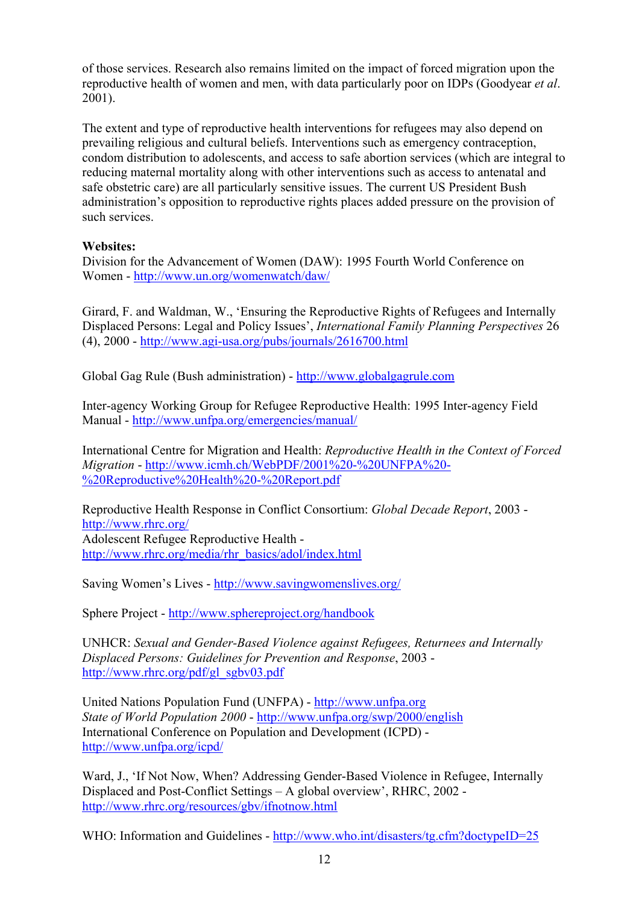of those services. Research also remains limited on the impact of forced migration upon the reproductive health of women and men, with data particularly poor on IDPs (Goodyear *et al*. 2001).

The extent and type of reproductive health interventions for refugees may also depend on prevailing religious and cultural beliefs. Interventions such as emergency contraception, condom distribution to adolescents, and access to safe abortion services (which are integral to reducing maternal mortality along with other interventions such as access to antenatal and safe obstetric care) are all particularly sensitive issues. The current US President Bush administration's opposition to reproductive rights places added pressure on the provision of such services.

# **Websites:**

Division for the Advancement of Women (DAW): 1995 Fourth World Conference on Women - <http://www.un.org/womenwatch/daw/>

Girard, F. and Waldman, W., 'Ensuring the Reproductive Rights of Refugees and Internally Displaced Persons: Legal and Policy Issues', *International Family Planning Perspectives* 26 (4), 2000 - <http://www.agi-usa.org/pubs/journals/2616700.html>

Global Gag Rule (Bush administration) - [http://www.globalgagrule.com](http://www.globalgagrule.com/)

Inter-agency Working Group for Refugee Reproductive Health: 1995 Inter-agency Field Manual - [http://www.unfpa.org/emergencies/manual/](http://www.who.int/reproductive-health/publications/RHR_00_13_RH_conflict_and_displacement/PDF_RHR_00_13/RH_conflict_table_of_contents_pdf.en.html)

International Centre for Migration and Health: *Reproductive Health in the Context of Forced Migration* - [http://www.icmh.ch/WebPDF/2001%20-%20UNFPA%20-](http://www.icmh.ch/WebPDF/2001 - UNFPA - Reproductive Health - Report.pdf) [%20Reproductive%20Health%20-%20Report.pdf](http://www.icmh.ch/WebPDF/2001 - UNFPA - Reproductive Health - Report.pdf)

Reproductive Health Response in Conflict Consortium: *Global Decade Report*, 2003 <http://www.rhrc.org/> Adolescent Refugee Reproductive Health [http://www.rhrc.org/media/rhr\\_basics/adol/index.html](http://www.rhrc.org/media/rhr_basics/adol/index.html)

Saving Women's Lives -<http://www.savingwomenslives.org/>

Sphere Project - <http://www.sphereproject.org/handbook>

UNHCR: *Sexual and Gender-Based Violence against Refugees, Returnees and Internally Displaced Persons: Guidelines for Prevention and Response*, 2003 [http://www.rhrc.org/pdf/gl\\_sgbv03.pdf](http://www.rhrc.org/pdf/gl_sgbv03.pdf)

United Nations Population Fund (UNFPA) - [http://www.unfpa.org](http://www.unfpa.org/) *State of World Population 2000* -<http://www.unfpa.org/swp/2000/english> [International Conference on Population and Development](http://www.unfpa.org/icpd/icpd.htm) (ICPD) <http://www.unfpa.org/icpd/>

Ward, J., 'If Not Now, When? Addressing Gender-Based Violence in Refugee, Internally Displaced and Post-Conflict Settings – A global overview', RHRC, 2002 <http://www.rhrc.org/resources/gbv/ifnotnow.html>

WHO: Information and Guidelines -<http://www.who.int/disasters/tg.cfm?doctypeID=25>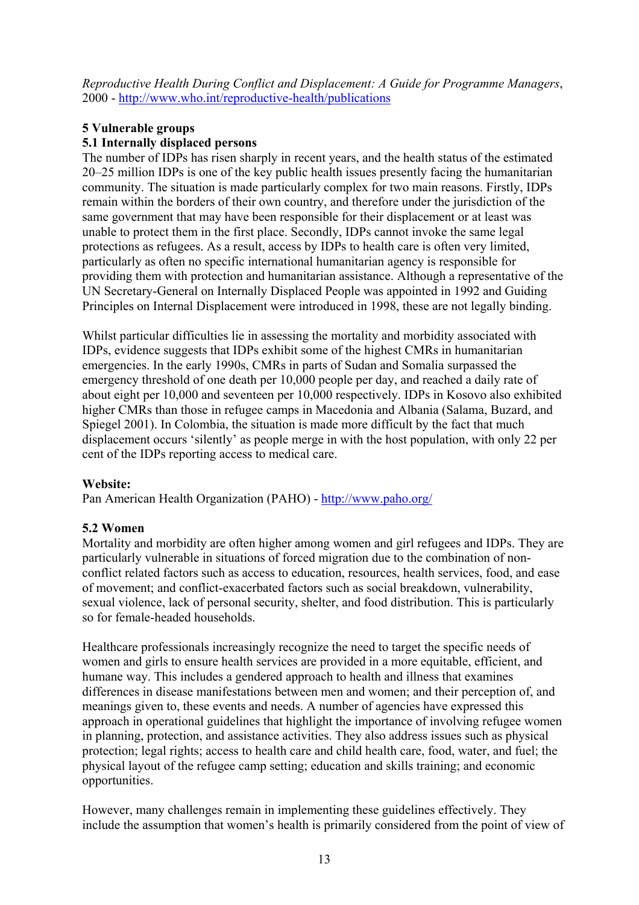*Reproductive Health During Conflict and Displacement: A Guide for Programme Managers*, 2000 - <http://www.who.int/reproductive-health/publications>

# **5 Vulnerable groups**

## **5.1 Internally displaced persons**

The number of IDPs has risen sharply in recent years, and the health status of the estimated 20–25 million IDPs is one of the key public health issues presently facing the humanitarian community. The situation is made particularly complex for two main reasons. Firstly, IDPs remain within the borders of their own country, and therefore under the jurisdiction of the same government that may have been responsible for their displacement or at least was unable to protect them in the first place. Secondly, IDPs cannot invoke the same legal protections as refugees. As a result, access by IDPs to health care is often very limited, particularly as often no specific international humanitarian agency is responsible for providing them with protection and humanitarian assistance. Although a representative of the UN Secretary-General on Internally Displaced People was appointed in 1992 and Guiding Principles on Internal Displacement were introduced in 1998, these are not legally binding.

Whilst particular difficulties lie in assessing the mortality and morbidity associated with IDPs, evidence suggests that IDPs exhibit some of the highest CMRs in humanitarian emergencies. In the early 1990s, CMRs in parts of Sudan and Somalia surpassed the emergency threshold of one death per 10,000 people per day, and reached a daily rate of about eight per 10,000 and seventeen per 10,000 respectively. IDPs in Kosovo also exhibited higher CMRs than those in refugee camps in Macedonia and Albania (Salama, Buzard, and Spiegel 2001). In Colombia, the situation is made more difficult by the fact that much displacement occurs 'silently' as people merge in with the host population, with only 22 per cent of the IDPs reporting access to medical care.

## **Website:**

Pan American Health Organization (PAHO) -<http://www.paho.org/>

## **5.2 Women**

Mortality and morbidity are often higher among women and girl refugees and IDPs. They are particularly vulnerable in situations of forced migration due to the combination of nonconflict related factors such as access to education, resources, health services, food, and ease of movement; and conflict-exacerbated factors such as social breakdown, vulnerability, sexual violence, lack of personal security, shelter, and food distribution. This is particularly so for female-headed households.

Healthcare professionals increasingly recognize the need to target the specific needs of women and girls to ensure health services are provided in a more equitable, efficient, and humane way. This includes a gendered approach to health and illness that examines differences in disease manifestations between men and women; and their perception of, and meanings given to, these events and needs. A number of agencies have expressed this approach in operational guidelines that highlight the importance of involving refugee women in planning, protection, and assistance activities. They also address issues such as physical protection; legal rights; access to health care and child health care, food, water, and fuel; the physical layout of the refugee camp setting; education and skills training; and economic opportunities.

However, many challenges remain in implementing these guidelines effectively. They include the assumption that women's health is primarily considered from the point of view of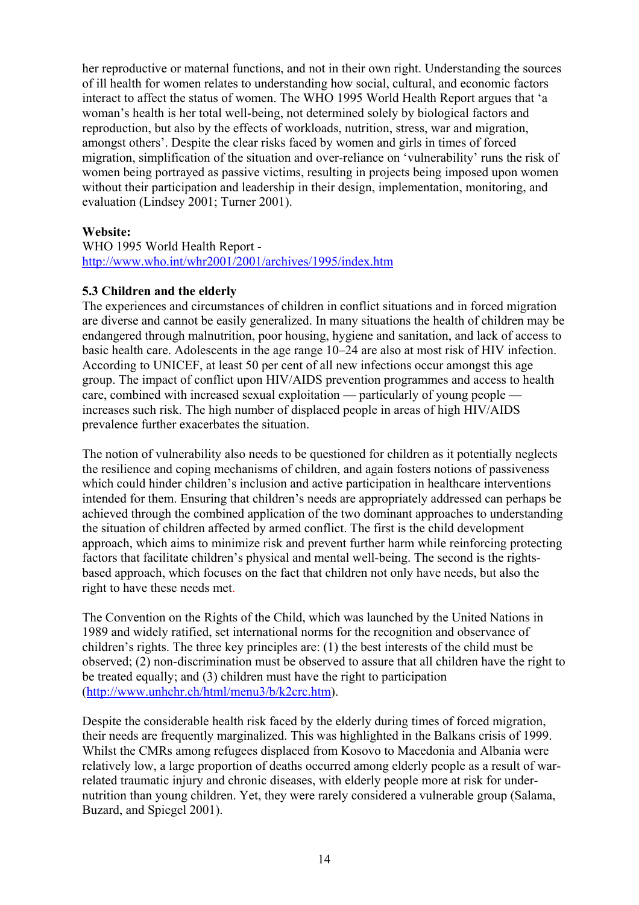her reproductive or maternal functions, and not in their own right. Understanding the sources of ill health for women relates to understanding how social, cultural, and economic factors interact to affect the status of women. The WHO 1995 World Health Report argues that 'a woman's health is her total well-being, not determined solely by biological factors and reproduction, but also by the effects of workloads, nutrition, stress, war and migration, amongst others'. Despite the clear risks faced by women and girls in times of forced migration, simplification of the situation and over-reliance on 'vulnerability' runs the risk of women being portrayed as passive victims, resulting in projects being imposed upon women without their participation and leadership in their design, implementation, monitoring, and evaluation (Lindsey 2001; Turner 2001).

#### **Website:**

WHO 1995 World Health Report <http://www.who.int/whr2001/2001/archives/1995/index.htm>

#### **5.3 Children and the elderly**

The experiences and circumstances of children in conflict situations and in forced migration are diverse and cannot be easily generalized. In many situations the health of children may be endangered through malnutrition, poor housing, hygiene and sanitation, and lack of access to basic health care. Adolescents in the age range 10–24 are also at most risk of HIV infection. According to UNICEF, at least 50 per cent of all new infections occur amongst this age group. The impact of conflict upon HIV/AIDS prevention programmes and access to health care, combined with increased sexual exploitation — particularly of young people increases such risk. The high number of displaced people in areas of high HIV/AIDS prevalence further exacerbates the situation.

The notion of vulnerability also needs to be questioned for children as it potentially neglects the resilience and coping mechanisms of children, and again fosters notions of passiveness which could hinder children's inclusion and active participation in healthcare interventions intended for them. Ensuring that children's needs are appropriately addressed can perhaps be achieved through the combined application of the two dominant approaches to understanding the situation of children affected by armed conflict. The first is the child development approach, which aims to minimize risk and prevent further harm while reinforcing protecting factors that facilitate children's physical and mental well-being. The second is the rightsbased approach, which focuses on the fact that children not only have needs, but also the right to have these needs met.

The Convention on the Rights of the Child, which was launched by the United Nations in 1989 and widely ratified, set international norms for the recognition and observance of children's rights. The three key principles are: (1) the best interests of the child must be observed; (2) non-discrimination must be observed to assure that all children have the right to be treated equally; and (3) children must have the right to participation (<http://www.unhchr.ch/html/menu3/b/k2crc.htm>).

Despite the considerable health risk faced by the elderly during times of forced migration, their needs are frequently marginalized. This was highlighted in the Balkans crisis of 1999. Whilst the CMRs among refugees displaced from Kosovo to Macedonia and Albania were relatively low, a large proportion of deaths occurred among elderly people as a result of warrelated traumatic injury and chronic diseases, with elderly people more at risk for undernutrition than young children. Yet, they were rarely considered a vulnerable group (Salama, Buzard, and Spiegel 2001).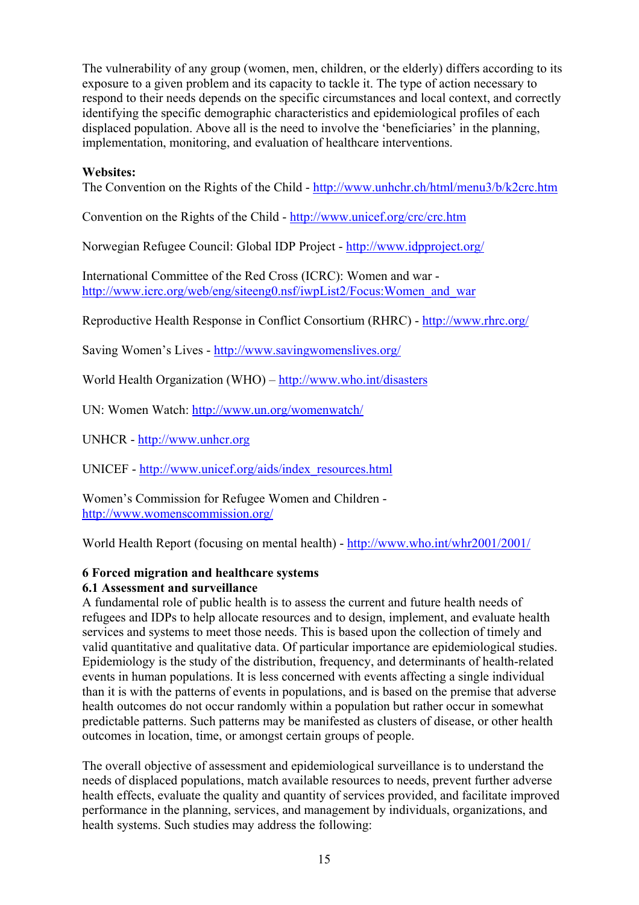The vulnerability of any group (women, men, children, or the elderly) differs according to its exposure to a given problem and its capacity to tackle it. The type of action necessary to respond to their needs depends on the specific circumstances and local context, and correctly identifying the specific demographic characteristics and epidemiological profiles of each displaced population. Above all is the need to involve the 'beneficiaries' in the planning, implementation, monitoring, and evaluation of healthcare interventions.

## **Websites:**

The Convention on the Rights of the Child - <http://www.unhchr.ch/html/menu3/b/k2crc.htm>

Convention on the Rights of the Child - <http://www.unicef.org/crc/crc.htm>

Norwegian Refugee Council: Global IDP Project -<http://www.idpproject.org/>

International Committee of the Red Cross (ICRC): Women and war [http://www.icrc.org/web/eng/siteeng0.nsf/iwpList2/Focus:Women\\_and\\_war](http://www.icrc.org/web/eng/siteeng0.nsf/iwpList2/Focus:Women_and_war)

Reproductive Health Response in Conflict Consortium (RHRC) -<http://www.rhrc.org/>

Saving Women's Lives -<http://www.savingwomenslives.org/>

World Health Organization (WHO) – <http://www.who.int/disasters>

UN: Women Watch: <http://www.un.org/womenwatch/>

UNHCR - [http://www.unhcr.org](http://www.unhcr.org/)

UNICEF - [http://www.unicef.org/aids/index\\_resources.html](http://www.unicef.org/aids/index_resources.html)

Women's Commission for Refugee Women and Children <http://www.womenscommission.org/>

World Health Report (focusing on mental health) -<http://www.who.int/whr2001/2001/>

## **6 Forced migration and healthcare systems**

## **6.1 Assessment and surveillance**

A fundamental role of public health is to assess the current and future health needs of refugees and IDPs to help allocate resources and to design, implement, and evaluate health services and systems to meet those needs. This is based upon the collection of timely and valid quantitative and qualitative data. Of particular importance are epidemiological studies. Epidemiology is the study of the distribution, frequency, and determinants of health-related events in human populations. It is less concerned with events affecting a single individual than it is with the patterns of events in populations, and is based on the premise that adverse health outcomes do not occur randomly within a population but rather occur in somewhat predictable patterns. Such patterns may be manifested as clusters of disease, or other health outcomes in location, time, or amongst certain groups of people.

The overall objective of assessment and epidemiological surveillance is to understand the needs of displaced populations, match available resources to needs, prevent further adverse health effects, evaluate the quality and quantity of services provided, and facilitate improved performance in the planning, services, and management by individuals, organizations, and health systems. Such studies may address the following: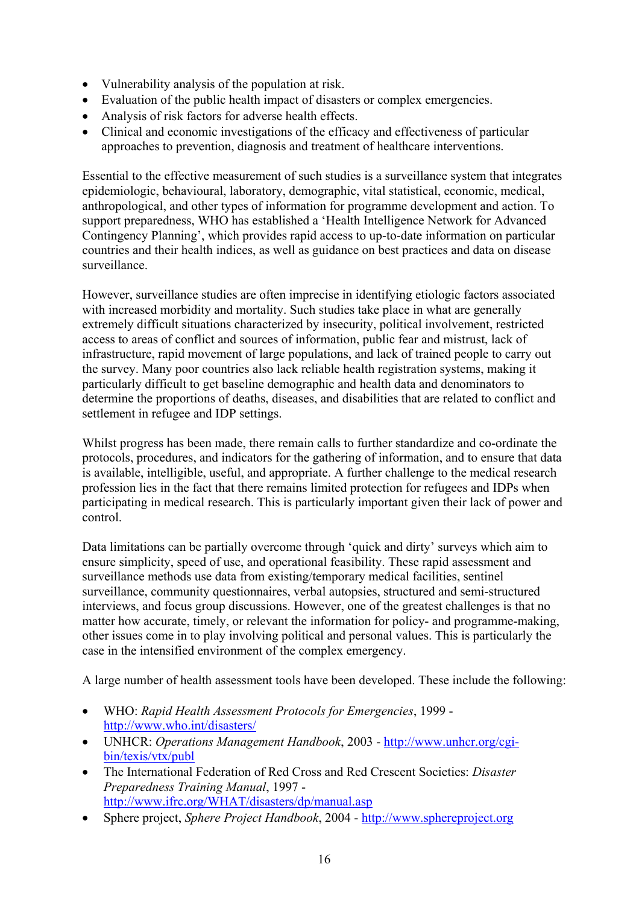- Vulnerability analysis of the population at risk.
- Evaluation of the public health impact of disasters or complex emergencies.
- Analysis of risk factors for adverse health effects.
- Clinical and economic investigations of the efficacy and effectiveness of particular approaches to prevention, diagnosis and treatment of healthcare interventions.

Essential to the effective measurement of such studies is a surveillance system that integrates epidemiologic, behavioural, laboratory, demographic, vital statistical, economic, medical, anthropological, and other types of information for programme development and action. To support preparedness, WHO has established a 'Health Intelligence Network for Advanced Contingency Planning', which provides rapid access to up-to-date information on particular countries and their health indices, as well as guidance on best practices and data on disease surveillance.

However, surveillance studies are often imprecise in identifying etiologic factors associated with increased morbidity and mortality. Such studies take place in what are generally extremely difficult situations characterized by insecurity, political involvement, restricted access to areas of conflict and sources of information, public fear and mistrust, lack of infrastructure, rapid movement of large populations, and lack of trained people to carry out the survey. Many poor countries also lack reliable health registration systems, making it particularly difficult to get baseline demographic and health data and denominators to determine the proportions of deaths, diseases, and disabilities that are related to conflict and settlement in refugee and IDP settings.

Whilst progress has been made, there remain calls to further standardize and co-ordinate the protocols, procedures, and indicators for the gathering of information, and to ensure that data is available, intelligible, useful, and appropriate. A further challenge to the medical research profession lies in the fact that there remains limited protection for refugees and IDPs when participating in medical research. This is particularly important given their lack of power and control.

Data limitations can be partially overcome through 'quick and dirty' surveys which aim to ensure simplicity, speed of use, and operational feasibility. These rapid assessment and surveillance methods use data from existing/temporary medical facilities, sentinel surveillance, community questionnaires, verbal autopsies, structured and semi-structured interviews, and focus group discussions. However, one of the greatest challenges is that no matter how accurate, timely, or relevant the information for policy- and programme-making, other issues come in to play involving political and personal values. This is particularly the case in the intensified environment of the complex emergency.

A large number of health assessment tools have been developed. These include the following:

- WHO: *Rapid Health Assessment Protocols for Emergencies*, 1999 <http://www.who.int/disasters/>
- UNHCR: *Operations Management Handbook*, 2003 - [http://www.unhcr.org/cgi](http://www.unhcr.org/cgi-bin/texis/vtx/publ)[bin/texis/vtx/publ](http://www.unhcr.org/cgi-bin/texis/vtx/publ)
- The International Federation of Red Cross and Red Crescent Societies: *Disaster Preparedness Training Manual*, 1997 <http://www.ifrc.org/WHAT/disasters/dp/manual.asp>
- Sphere project, *Sphere Project Handbook*, 2004 [http://www.sphereproject.org](http://www.sphereproject.org/)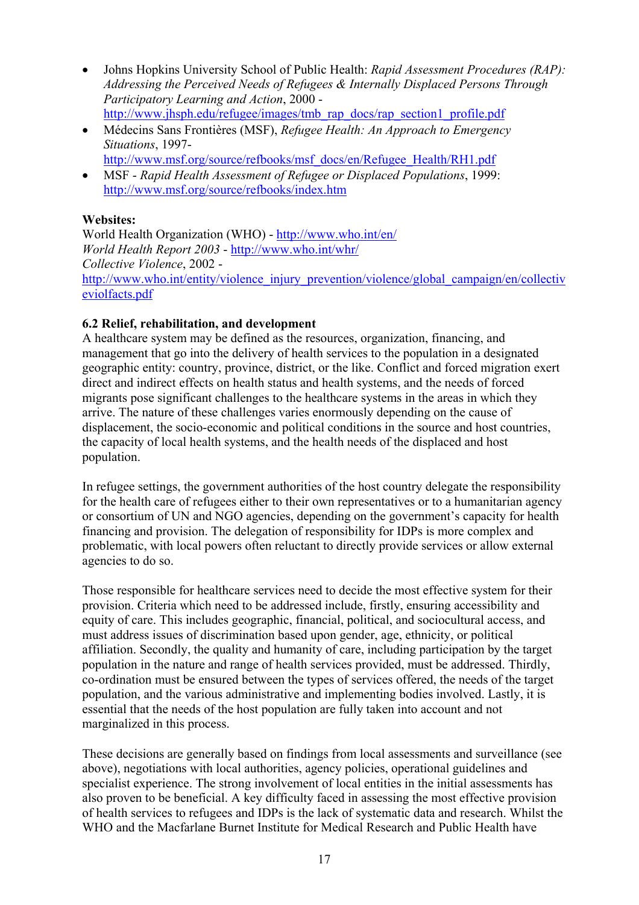- Johns Hopkins University School of Public Health: *Rapid Assessment Procedures (RAP): Addressing the Perceived Needs of Refugees & Internally Displaced Persons Through Participatory Learning and Action*, 2000 [http://www.jhsph.edu/refugee/images/tmb\\_rap\\_docs/rap\\_section1\\_profile.pdf](http://www.jhsph.edu/refugee/images/tmb_rap_docs/rap_section1_profile.pdf)
- Médecins Sans Frontières (MSF), *Refugee Health: An Approach to Emergency Situations*, 1997
	- [http://www.msf.org/source/refbooks/msf\\_docs/en/Refugee\\_Health/RH1.pdf](http://www.msf.org/source/refbooks/msf_docs/en/Refugee_Health/RH1.pdf)
- MSF *Rapid Health Assessment of Refugee or Displaced Populations*, 1999: <http://www.msf.org/source/refbooks/index.htm>

# **Websites:**

World Health Organization (WHO) -<http://www.who.int/en/> *World Health Report 2003* - <http://www.who.int/whr/> *Collective Violence*, 2002 [http://www.who.int/entity/violence\\_injury\\_prevention/violence/global\\_campaign/en/collectiv](http://www.who.int/entity/violence_injury_prevention/violence/global_campaign/en/collectiveviolfacts.pdf) [eviolfacts.pdf](http://www.who.int/entity/violence_injury_prevention/violence/global_campaign/en/collectiveviolfacts.pdf)

# **6.2 Relief, rehabilitation, and development**

A healthcare system may be defined as the resources, organization, financing, and management that go into the delivery of health services to the population in a designated geographic entity: country, province, district, or the like. Conflict and forced migration exert direct and indirect effects on health status and health systems, and the needs of forced migrants pose significant challenges to the healthcare systems in the areas in which they arrive. The nature of these challenges varies enormously depending on the cause of displacement, the socio-economic and political conditions in the source and host countries, the capacity of local health systems, and the health needs of the displaced and host population.

In refugee settings, the government authorities of the host country delegate the responsibility for the health care of refugees either to their own representatives or to a humanitarian agency or consortium of UN and NGO agencies, depending on the government's capacity for health financing and provision. The delegation of responsibility for IDPs is more complex and problematic, with local powers often reluctant to directly provide services or allow external agencies to do so.

Those responsible for healthcare services need to decide the most effective system for their provision. Criteria which need to be addressed include, firstly, ensuring accessibility and equity of care. This includes geographic, financial, political, and sociocultural access, and must address issues of discrimination based upon gender, age, ethnicity, or political affiliation. Secondly, the quality and humanity of care, including participation by the target population in the nature and range of health services provided, must be addressed. Thirdly, co-ordination must be ensured between the types of services offered, the needs of the target population, and the various administrative and implementing bodies involved. Lastly, it is essential that the needs of the host population are fully taken into account and not marginalized in this process.

These decisions are generally based on findings from local assessments and surveillance (see above), negotiations with local authorities, agency policies, operational guidelines and specialist experience. The strong involvement of local entities in the initial assessments has also proven to be beneficial. A key difficulty faced in assessing the most effective provision of health services to refugees and IDPs is the lack of systematic data and research. Whilst the WHO and the Macfarlane Burnet Institute for Medical Research and Public Health have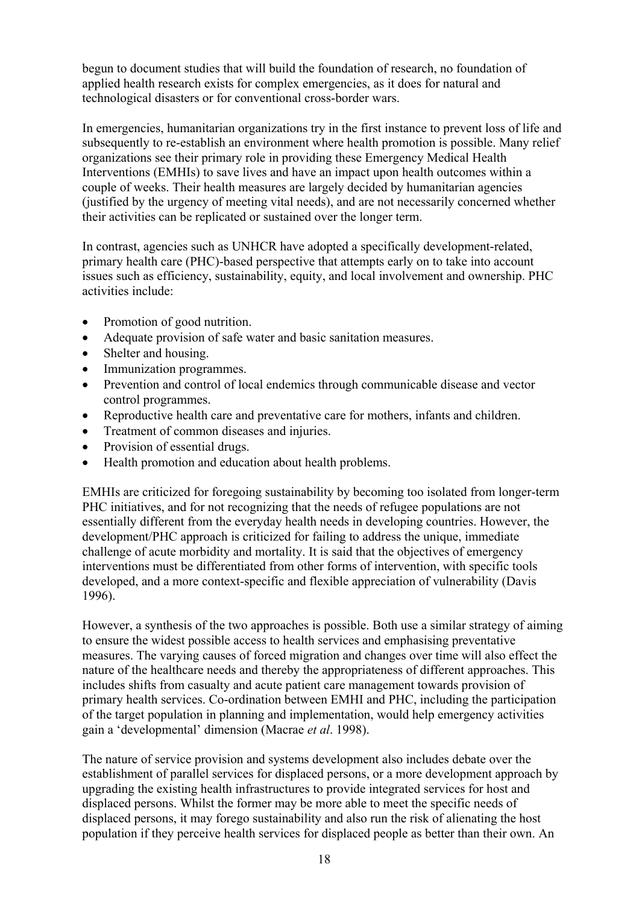begun to document studies that will build the foundation of research, no foundation of applied health research exists for complex emergencies, as it does for natural and technological disasters or for conventional cross-border wars.

In emergencies, humanitarian organizations try in the first instance to prevent loss of life and subsequently to re-establish an environment where health promotion is possible. Many relief organizations see their primary role in providing these Emergency Medical Health Interventions (EMHIs) to save lives and have an impact upon health outcomes within a couple of weeks. Their health measures are largely decided by humanitarian agencies (justified by the urgency of meeting vital needs), and are not necessarily concerned whether their activities can be replicated or sustained over the longer term.

In contrast, agencies such as UNHCR have adopted a specifically development-related, primary health care (PHC)-based perspective that attempts early on to take into account issues such as efficiency, sustainability, equity, and local involvement and ownership. PHC activities include:

- Promotion of good nutrition.
- Adequate provision of safe water and basic sanitation measures.
- Shelter and housing.
- Immunization programmes.
- Prevention and control of local endemics through communicable disease and vector control programmes.
- Reproductive health care and preventative care for mothers, infants and children.
- Treatment of common diseases and injuries.
- Provision of essential drugs.
- Health promotion and education about health problems.

EMHIs are criticized for foregoing sustainability by becoming too isolated from longer-term PHC initiatives, and for not recognizing that the needs of refugee populations are not essentially different from the everyday health needs in developing countries. However, the development/PHC approach is criticized for failing to address the unique, immediate challenge of acute morbidity and mortality. It is said that the objectives of emergency interventions must be differentiated from other forms of intervention, with specific tools developed, and a more context-specific and flexible appreciation of vulnerability (Davis 1996).

However, a synthesis of the two approaches is possible. Both use a similar strategy of aiming to ensure the widest possible access to health services and emphasising preventative measures. The varying causes of forced migration and changes over time will also effect the nature of the healthcare needs and thereby the appropriateness of different approaches. This includes shifts from casualty and acute patient care management towards provision of primary health services. Co-ordination between EMHI and PHC, including the participation of the target population in planning and implementation, would help emergency activities gain a 'developmental' dimension (Macrae *et al*. 1998).

The nature of service provision and systems development also includes debate over the establishment of parallel services for displaced persons, or a more development approach by upgrading the existing health infrastructures to provide integrated services for host and displaced persons. Whilst the former may be more able to meet the specific needs of displaced persons, it may forego sustainability and also run the risk of alienating the host population if they perceive health services for displaced people as better than their own. An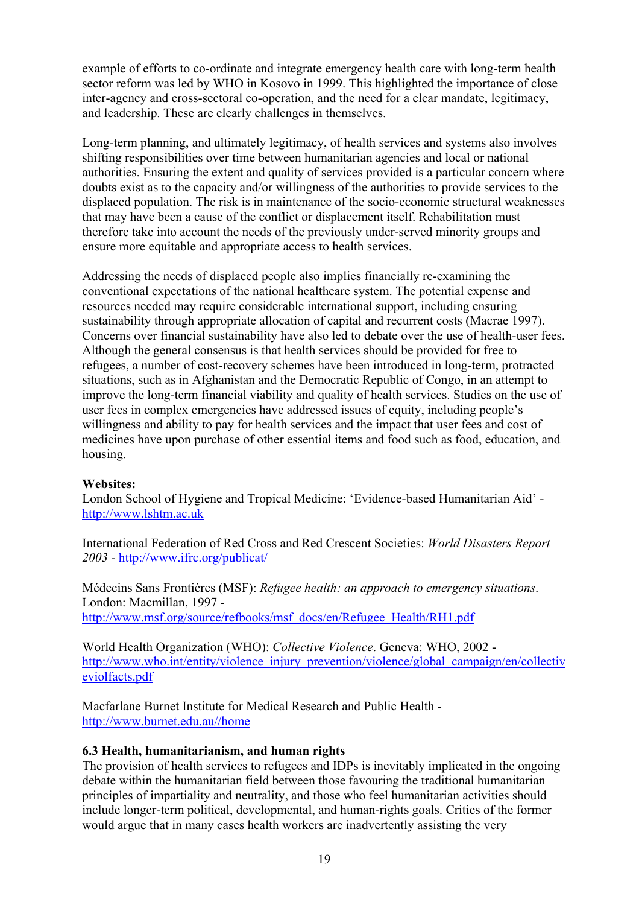example of efforts to co-ordinate and integrate emergency health care with long-term health sector reform was led by WHO in Kosovo in 1999. This highlighted the importance of close inter-agency and cross-sectoral co-operation, and the need for a clear mandate, legitimacy, and leadership. These are clearly challenges in themselves.

Long-term planning, and ultimately legitimacy, of health services and systems also involves shifting responsibilities over time between humanitarian agencies and local or national authorities. Ensuring the extent and quality of services provided is a particular concern where doubts exist as to the capacity and/or willingness of the authorities to provide services to the displaced population. The risk is in maintenance of the socio-economic structural weaknesses that may have been a cause of the conflict or displacement itself. Rehabilitation must therefore take into account the needs of the previously under-served minority groups and ensure more equitable and appropriate access to health services.

Addressing the needs of displaced people also implies financially re-examining the conventional expectations of the national healthcare system. The potential expense and resources needed may require considerable international support, including ensuring sustainability through appropriate allocation of capital and recurrent costs (Macrae 1997). Concerns over financial sustainability have also led to debate over the use of health-user fees. Although the general consensus is that health services should be provided for free to refugees, a number of cost-recovery schemes have been introduced in long-term, protracted situations, such as in Afghanistan and the Democratic Republic of Congo, in an attempt to improve the long-term financial viability and quality of health services. Studies on the use of user fees in complex emergencies have addressed issues of equity, including people's willingness and ability to pay for health services and the impact that user fees and cost of medicines have upon purchase of other essential items and food such as food, education, and housing.

## **Websites:**

London School of Hygiene and Tropical Medicine: 'Evidence-based Humanitarian Aid' [http://www.lshtm.ac.uk](http://www.lshtm.ac.uk/)

International Federation of Red Cross and Red Crescent Societies: *World Disasters Report 2003* - <http://www.ifrc.org/publicat/>

Médecins Sans Frontières (MSF): *Refugee health: an approach to emergency situations*. London: Macmillan, 1997 [http://www.msf.org/source/refbooks/msf\\_docs/en/Refugee\\_Health/RH1.pdf](http://www.msf.org/source/refbooks/msf_docs/en/Refugee_Health/RH1.pdf)

World Health Organization (WHO): *Collective Violence*. Geneva: WHO, 2002 [http://www.who.int/entity/violence\\_injury\\_prevention/violence/global\\_campaign/en/collectiv](http://www.who.int/entity/violence_injury_prevention/violence/global_campaign/en/collectiveviolfacts.pdf) [eviolfacts.pdf](http://www.who.int/entity/violence_injury_prevention/violence/global_campaign/en/collectiveviolfacts.pdf)

Macfarlane Burnet Institute for Medical Research and Public Health <http://www.burnet.edu.au//home>

#### **6.3 Health, humanitarianism, and human rights**

The provision of health services to refugees and IDPs is inevitably implicated in the ongoing debate within the humanitarian field between those favouring the traditional humanitarian principles of impartiality and neutrality, and those who feel humanitarian activities should include longer-term political, developmental, and human-rights goals. Critics of the former would argue that in many cases health workers are inadvertently assisting the very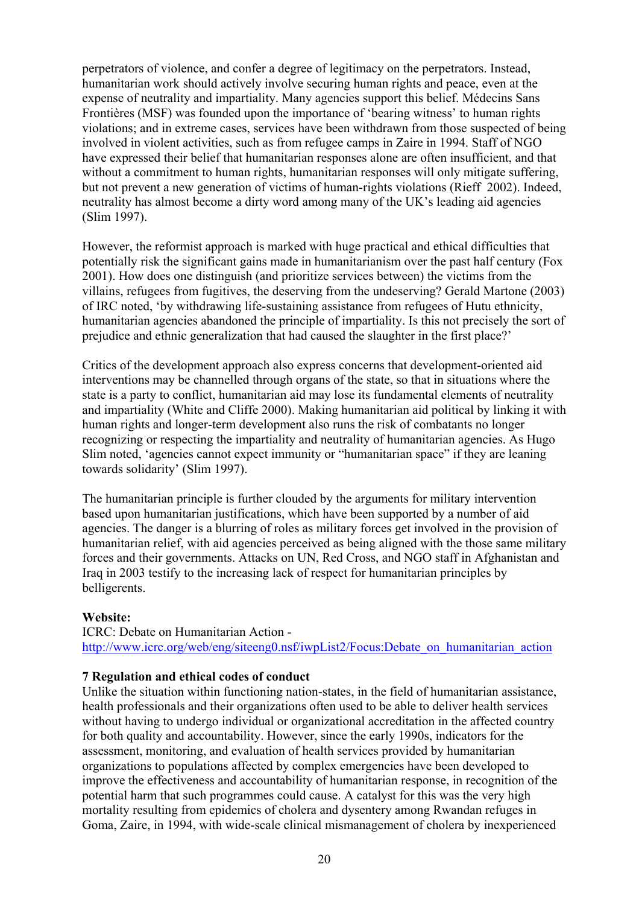perpetrators of violence, and confer a degree of legitimacy on the perpetrators. Instead, humanitarian work should actively involve securing human rights and peace, even at the expense of neutrality and impartiality. Many agencies support this belief. Médecins Sans Frontières (MSF) was founded upon the importance of 'bearing witness' to human rights violations; and in extreme cases, services have been withdrawn from those suspected of being involved in violent activities, such as from refugee camps in Zaire in 1994. Staff of NGO have expressed their belief that humanitarian responses alone are often insufficient, and that without a commitment to human rights, humanitarian responses will only mitigate suffering, but not prevent a new generation of victims of human-rights violations (Rieff 2002). Indeed, neutrality has almost become a dirty word among many of the UK's leading aid agencies (Slim 1997).

However, the reformist approach is marked with huge practical and ethical difficulties that potentially risk the significant gains made in humanitarianism over the past half century (Fox 2001). How does one distinguish (and prioritize services between) the victims from the villains, refugees from fugitives, the deserving from the undeserving? Gerald Martone (2003) of IRC noted, 'by withdrawing life-sustaining assistance from refugees of Hutu ethnicity, humanitarian agencies abandoned the principle of impartiality. Is this not precisely the sort of prejudice and ethnic generalization that had caused the slaughter in the first place?'

Critics of the development approach also express concerns that development-oriented aid interventions may be channelled through organs of the state, so that in situations where the state is a party to conflict, humanitarian aid may lose its fundamental elements of neutrality and impartiality (White and Cliffe 2000). Making humanitarian aid political by linking it with human rights and longer-term development also runs the risk of combatants no longer recognizing or respecting the impartiality and neutrality of humanitarian agencies. As Hugo Slim noted, 'agencies cannot expect immunity or "humanitarian space" if they are leaning towards solidarity' (Slim 1997).

The humanitarian principle is further clouded by the arguments for military intervention based upon humanitarian justifications, which have been supported by a number of aid agencies. The danger is a blurring of roles as military forces get involved in the provision of humanitarian relief, with aid agencies perceived as being aligned with the those same military forces and their governments. Attacks on UN, Red Cross, and NGO staff in Afghanistan and Iraq in 2003 testify to the increasing lack of respect for humanitarian principles by belligerents.

## **Website:**

ICRC: Debate on Humanitarian Action [http://www.icrc.org/web/eng/siteeng0.nsf/iwpList2/Focus:Debate\\_on\\_humanitarian\\_action](http://www.icrc.org/web/eng/siteeng0.nsf/iwpList2/Focus:Debate_on_humanitarian_action)

#### **7 Regulation and ethical codes of conduct**

Unlike the situation within functioning nation-states, in the field of humanitarian assistance, health professionals and their organizations often used to be able to deliver health services without having to undergo individual or organizational accreditation in the affected country for both quality and accountability. However, since the early 1990s, indicators for the assessment, monitoring, and evaluation of health services provided by humanitarian organizations to populations affected by complex emergencies have been developed to improve the effectiveness and accountability of humanitarian response, in recognition of the potential harm that such programmes could cause. A catalyst for this was the very high mortality resulting from epidemics of cholera and dysentery among Rwandan refuges in Goma, Zaire, in 1994, with wide-scale clinical mismanagement of cholera by inexperienced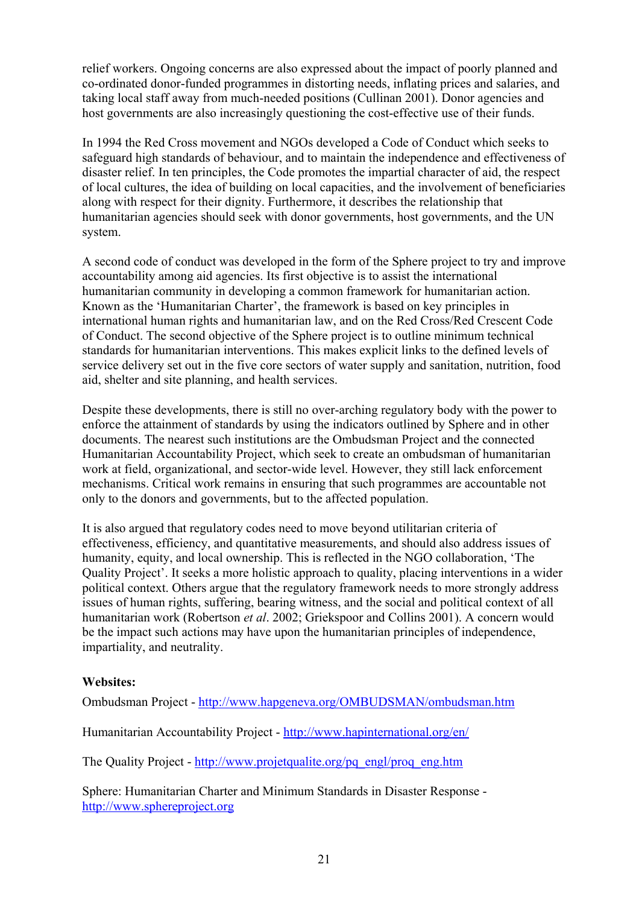relief workers. Ongoing concerns are also expressed about the impact of poorly planned and co-ordinated donor-funded programmes in distorting needs, inflating prices and salaries, and taking local staff away from much-needed positions (Cullinan 2001). Donor agencies and host governments are also increasingly questioning the cost-effective use of their funds.

In 1994 the Red Cross movement and NGOs developed a Code of Conduct which seeks to safeguard high standards of behaviour, and to maintain the independence and effectiveness of disaster relief. In ten principles, the Code promotes the impartial character of aid, the respect of local cultures, the idea of building on local capacities, and the involvement of beneficiaries along with respect for their dignity. Furthermore, it describes the relationship that humanitarian agencies should seek with donor governments, host governments, and the UN system.

A second code of conduct was developed in the form of the Sphere project to try and improve accountability among aid agencies. Its first objective is to assist the international humanitarian community in developing a common framework for humanitarian action. Known as the 'Humanitarian Charter', the framework is based on key principles in international human rights and humanitarian law, and on the Red Cross/Red Crescent Code of Conduct. The second objective of the Sphere project is to outline minimum technical standards for humanitarian interventions. This makes explicit links to the defined levels of service delivery set out in the five core sectors of water supply and sanitation, nutrition, food aid, shelter and site planning, and health services.

Despite these developments, there is still no over-arching regulatory body with the power to enforce the attainment of standards by using the indicators outlined by Sphere and in other documents. The nearest such institutions are the Ombudsman Project and the connected Humanitarian Accountability Project, which seek to create an ombudsman of humanitarian work at field, organizational, and sector-wide level. However, they still lack enforcement mechanisms. Critical work remains in ensuring that such programmes are accountable not only to the donors and governments, but to the affected population.

It is also argued that regulatory codes need to move beyond utilitarian criteria of effectiveness, efficiency, and quantitative measurements, and should also address issues of humanity, equity, and local ownership. This is reflected in the NGO collaboration, 'The Quality Project'. It seeks a more holistic approach to quality, placing interventions in a wider political context. Others argue that the regulatory framework needs to more strongly address issues of human rights, suffering, bearing witness, and the social and political context of all humanitarian work (Robertson *et al*. 2002; Griekspoor and Collins 2001). A concern would be the impact such actions may have upon the humanitarian principles of independence, impartiality, and neutrality.

## **Websites:**

Ombudsman Project - <http://www.hapgeneva.org/OMBUDSMAN/ombudsman.htm>

Humanitarian Accountability Project - <http://www.hapinternational.org/en/>

The Quality Project - [http://www.projetqualite.org/pq\\_engl/proq\\_eng.htm](http://www.projetqualite.org/pq_engl/proq_eng.htm)

Sphere: Humanitarian Charter and Minimum Standards in Disaster Response [http://www.sphereproject.org](http://www.sphereproject.org/)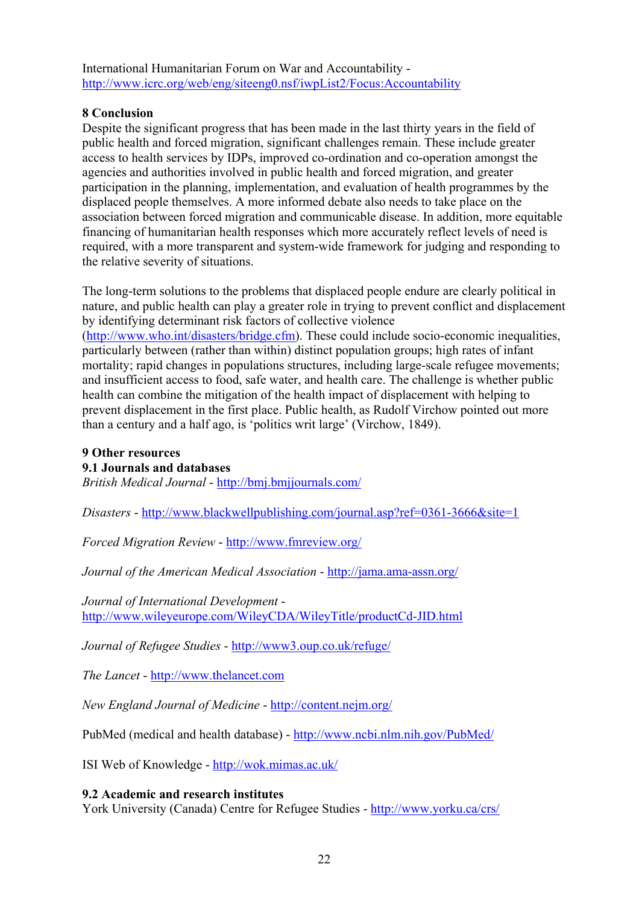International Humanitarian Forum on War and Accountability <http://www.icrc.org/web/eng/siteeng0.nsf/iwpList2/Focus:Accountability>

## **8 Conclusion**

Despite the significant progress that has been made in the last thirty years in the field of public health and forced migration, significant challenges remain. These include greater access to health services by IDPs, improved co-ordination and co-operation amongst the agencies and authorities involved in public health and forced migration, and greater participation in the planning, implementation, and evaluation of health programmes by the displaced people themselves. A more informed debate also needs to take place on the association between forced migration and communicable disease. In addition, more equitable financing of humanitarian health responses which more accurately reflect levels of need is required, with a more transparent and system-wide framework for judging and responding to the relative severity of situations.

The long-term solutions to the problems that displaced people endure are clearly political in nature, and public health can play a greater role in trying to prevent conflict and displacement by identifying determinant risk factors of collective violence ([http://www.who.int/disasters/bridge.cfm\)](http://www.who.int/disasters/bridge.cfm). These could include socio-economic inequalities, particularly between (rather than within) distinct population groups; high rates of infant mortality; rapid changes in populations structures, including large-scale refugee movements; and insufficient access to food, safe water, and health care. The challenge is whether public health can combine the mitigation of the health impact of displacement with helping to prevent displacement in the first place. Public health, as Rudolf Virchow pointed out more than a century and a half ago, is 'politics writ large' (Virchow, 1849).

## **9 Other resources**

## **9.1 Journals and databases**

*British Medical Journal* - <http://bmj.bmjjournals.com/>

*Disasters* - <http://www.blackwellpublishing.com/journal.asp?ref=0361-3666&site=1>

*Forced Migration Review* - <http://www.fmreview.org/>

*Journal of the American Medical Association* - <http://jama.ama-assn.org/>

*Journal of International Development* <http://www.wileyeurope.com/WileyCDA/WileyTitle/productCd-JID.html>

*Journal of Refugee Studies* - <http://www3.oup.co.uk/refuge/>

*The Lancet* - [http://www.thelancet.com](http://www.thelancet.com/)

*New England Journal of Medicine* - <http://content.nejm.org/>

PubMed (medical and health database) -<http://www.ncbi.nlm.nih.gov/PubMed/>

ISI Web of Knowledge -<http://wok.mimas.ac.uk/>

## **9.2 Academic and research institutes**

York University (Canada) Centre for Refugee Studies -<http://www.yorku.ca/crs/>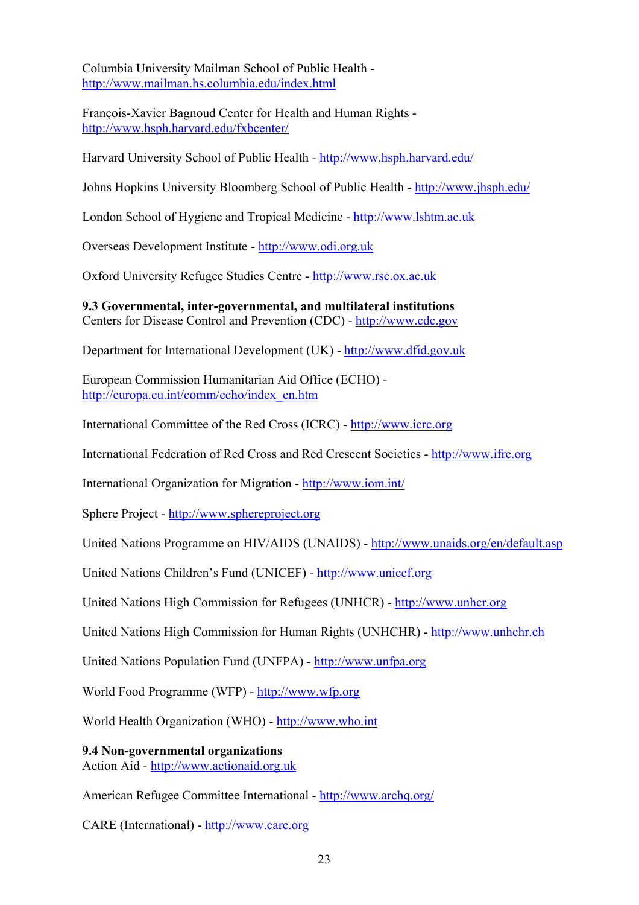Columbia University Mailman School of Public Health <http://www.mailman.hs.columbia.edu/index.html>

François-Xavier Bagnoud Center for Health and Human Rights <http://www.hsph.harvard.edu/fxbcenter/>

Harvard University School of Public Health - <http://www.hsph.harvard.edu/>

Johns Hopkins University Bloomberg School of Public Health -<http://www.jhsph.edu/>

London School of Hygiene and Tropical Medicine - [http://www.lshtm.ac.uk](http://www.lshtm.ac.uk/)

Overseas Development Institute - [http://www.odi.org.uk](http://www.odi.org.uk/)

Oxford University Refugee Studies Centre - [http://www.rsc.ox.ac.uk](http://www.rsc.ox.ac.uk/)

**9.3 Governmental, inter-governmental, and multilateral institutions**  Centers for Disease Control and Prevention (CDC) - [http://www.cdc.gov](http://www.cdc.gov/)

Department for International Development (UK) - [http://www.dfid.gov.uk](http://www.dfid.gov.uk/)

European Commission Humanitarian Aid Office (ECHO) http://europa.eu.jnt/comm/echo/index\_en.htm

International Committee of the Red Cross (ICRC) - [http://www.icrc.org](http://www.icrc.org/)

International Federation of Red Cross and Red Crescent Societies - [http://www.ifrc.org](http://www.ifrc.org/)

International Organization for Migration - <http://www.iom.int/>

Sphere Project - [http://www.sphereproject.org](http://www.sphereproject.org/)

United Nations Programme on HIV/AIDS (UNAIDS) - <http://www.unaids.org/en/default.asp>

United Nations Children's Fund (UNICEF) - [http://www.unicef.org](http://www.unicef.org/)

United Nations High Commission for Refugees (UNHCR) - [http://www.unhcr.org](http://www.unhcr.org/)

United Nations High Commission for Human Rights (UNHCHR) - [http://www.unhchr.ch](http://www.unhchr.ch/)

United Nations Population Fund (UNFPA) - [http://www.unfpa.org](http://www.unfpa.org/)

World Food Programme (WFP) - [http://www.wfp.org](http://www.wfp.org/)

World Health Organization (WHO) - [http://www.who.int](http://www.who.int/)

**9.4 Non-governmental organizations**  Action Aid - [http://www.actionaid.org.uk](http://www.actionaid.org.uk/)

American Refugee Committee International - <http://www.archq.org/>

CARE (International) - [http://www.care.org](http://www.care.org/)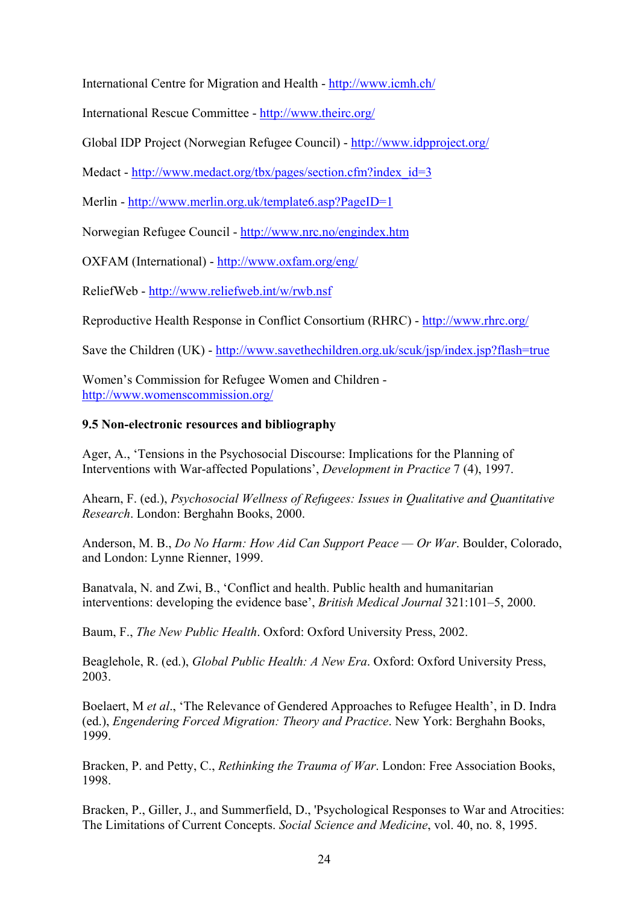International Centre for Migration and Health -<http://www.icmh.ch/>

International Rescue Committee - <http://www.theirc.org/>

Global IDP Project (Norwegian Refugee Council) - <http://www.idpproject.org/>

Medact - [http://www.medact.org/tbx/pages/section.cfm?index\\_id=3](http://www.medact.org/tbx/pages/section.cfm?index_id=3)

Merlin -<http://www.merlin.org.uk/template6.asp?PageID=1>

Norwegian Refugee Council - <http://www.nrc.no/engindex.htm>

OXFAM (International) -<http://www.oxfam.org/eng/>

ReliefWeb - <http://www.reliefweb.int/w/rwb.nsf>

Reproductive Health Response in Conflict Consortium (RHRC) -<http://www.rhrc.org/>

Save the Children (UK) - <http://www.savethechildren.org.uk/scuk/jsp/index.jsp?flash=true>

Women's Commission for Refugee Women and Children <http://www.womenscommission.org/>

#### **9.5 Non-electronic resources and bibliography**

Ager, A., 'Tensions in the Psychosocial Discourse: Implications for the Planning of Interventions with War-affected Populations', *Development in Practice* 7 (4), 1997.

Ahearn, F. (ed.), *Psychosocial Wellness of Refugees: Issues in Qualitative and Quantitative Research*. London: Berghahn Books, 2000.

Anderson, M. B., *Do No Harm: How Aid Can Support Peace — Or War*. Boulder, Colorado, and London: Lynne Rienner, 1999.

Banatvala, N. and Zwi, B., 'Conflict and health. Public health and humanitarian interventions: developing the evidence base', *British Medical Journal* 321:101–5, 2000.

Baum, F., *The New Public Health*. Oxford: Oxford University Press, 2002.

Beaglehole, R. (ed.), *Global Public Health: A New Era*. Oxford: Oxford University Press, 2003.

Boelaert, M *et al*., 'The Relevance of Gendered Approaches to Refugee Health', in D. Indra (ed.), *Engendering Forced Migration: Theory and Practice*. New York: Berghahn Books, 1999.

Bracken, P. and Petty, C., *Rethinking the Trauma of War*. London: Free Association Books, 1998.

Bracken, P., Giller, J., and Summerfield, D., 'Psychological Responses to War and Atrocities: The Limitations of Current Concepts. *Social Science and Medicine*, vol. 40, no. 8, 1995.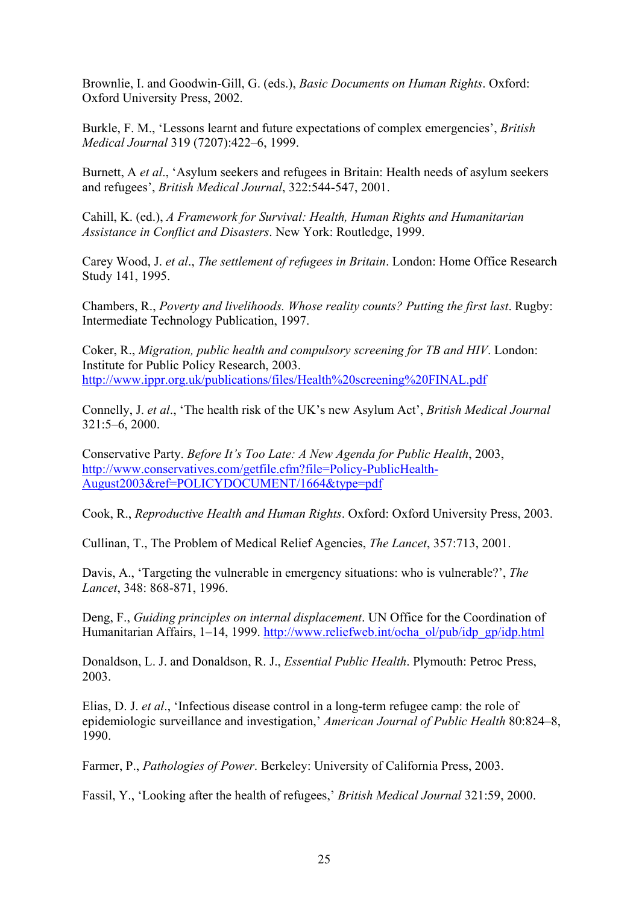Brownlie, I. and Goodwin-Gill, G. (eds.), *Basic Documents on Human Rights*. Oxford: Oxford University Press, 2002.

Burkle, F. M., 'Lessons learnt and future expectations of complex emergencies', *British Medical Journal* 319 (7207):422–6, 1999.

Burnett, A *et al*., 'Asylum seekers and refugees in Britain: Health needs of asylum seekers and refugees', *British Medical Journal*, 322:544-547, 2001.

Cahill, K. (ed.), *A Framework for Survival: Health, Human Rights and Humanitarian Assistance in Conflict and Disasters*. New York: Routledge, 1999.

Carey Wood, J. *et al*., *The settlement of refugees in Britain*. London: Home Office Research Study 141, 1995.

Chambers, R., *Poverty and livelihoods. Whose reality counts? Putting the first last*. Rugby: Intermediate Technology Publication, 1997.

Coker, R., *Migration, public health and compulsory screening for TB and HIV*. London: Institute for Public Policy Research, 2003. [http://www.ippr.org.uk/publications/files/Health%20screening%20FINAL.pdf](http://www.ippr.org.uk/publications/files/Health screening FINAL.pdf)

Connelly, J. *et al*., 'The health risk of the UK's new Asylum Act', *British Medical Journal* 321:5–6, 2000.

Conservative Party. *Before It's Too Late: A New Agenda for Public Health*, 2003, [http://www.conservatives.com/getfile.cfm?file=Policy-PublicHealth-](http://www.conservatives.com/getfile.cfm?file=Policy-PublicHealth-August2003&ref=POLICYDOCUMENT/1664&type=pdf)[August2003&ref=POLICYDOCUMENT/1664&type=pdf](http://www.conservatives.com/getfile.cfm?file=Policy-PublicHealth-August2003&ref=POLICYDOCUMENT/1664&type=pdf)

Cook, R., *Reproductive Health and Human Rights*. Oxford: Oxford University Press, 2003.

Cullinan, T., The Problem of Medical Relief Agencies, *The Lancet*, 357:713, 2001.

Davis, A., 'Targeting the vulnerable in emergency situations: who is vulnerable?', *The Lancet*, 348: 868-871, 1996.

Deng, F., *Guiding principles on internal displacement*. UN Office for the Coordination of Humanitarian Affairs, 1–14, 1999. [http://www.reliefweb.int/ocha\\_ol/pub/idp\\_gp/idp.html](http://www.reliefweb.int/ocha_ol/pub/idp_gp/idp.html)

Donaldson, L. J. and Donaldson, R. J., *Essential Public Health*. Plymouth: Petroc Press, 2003.

Elias, D. J. *et al*., 'Infectious disease control in a long-term refugee camp: the role of epidemiologic surveillance and investigation,' *American Journal of Public Health* 80:824–8, 1990.

Farmer, P., *Pathologies of Power*. Berkeley: University of California Press, 2003.

Fassil, Y., 'Looking after the health of refugees,' *British Medical Journal* 321:59, 2000.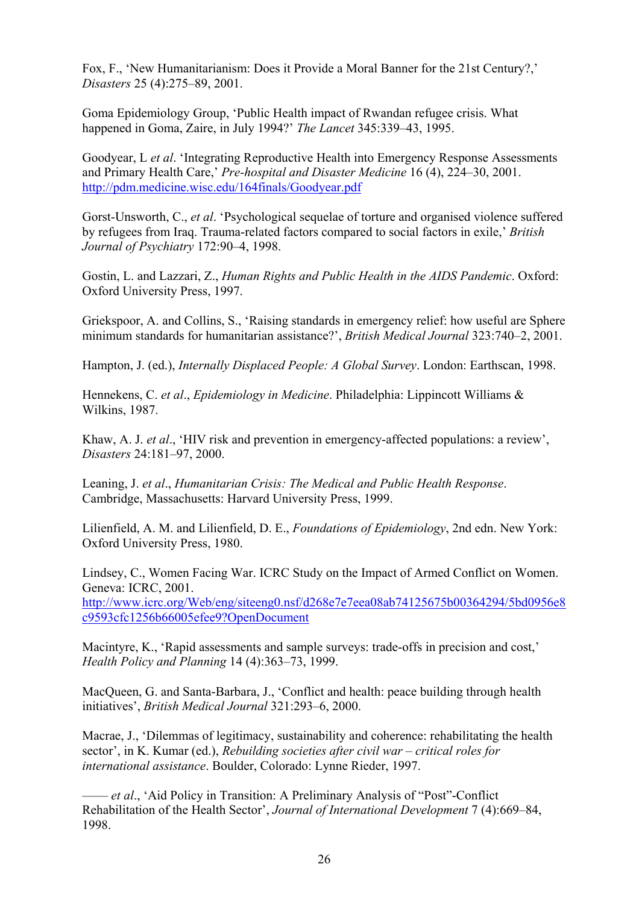Fox, F., 'New Humanitarianism: Does it Provide a Moral Banner for the 21st Century?,' *Disasters* 25 (4):275–89, 2001.

Goma Epidemiology Group, 'Public Health impact of Rwandan refugee crisis. What happened in Goma, Zaire, in July 1994?' *The Lancet* 345:339–43, 1995.

Goodyear, L *et al*. 'Integrating Reproductive Health into Emergency Response Assessments and Primary Health Care,' *Pre-hospital and Disaster Medicine* 16 (4), 224–30, 2001. <http://pdm.medicine.wisc.edu/164finals/Goodyear.pdf>

Gorst-Unsworth, C., *et al*. 'Psychological sequelae of torture and organised violence suffered by refugees from Iraq. Trauma-related factors compared to social factors in exile,' *British Journal of Psychiatry* 172:90–4, 1998.

Gostin, L. and Lazzari, Z., *Human Rights and Public Health in the AIDS Pandemic*. Oxford: Oxford University Press, 1997.

Griekspoor, A. and Collins, S., 'Raising standards in emergency relief: how useful are Sphere minimum standards for humanitarian assistance?', *British Medical Journal* 323:740–2, 2001.

Hampton, J. (ed.), *Internally Displaced People: A Global Survey*. London: Earthscan, 1998.

Hennekens, C. *et al*., *Epidemiology in Medicine*. Philadelphia: Lippincott Williams & Wilkins, 1987.

Khaw, A. J. *et al*., 'HIV risk and prevention in emergency-affected populations: a review', *Disasters* 24:181–97, 2000.

Leaning, J. *et al*., *Humanitarian Crisis: The Medical and Public Health Response*. Cambridge, Massachusetts: Harvard University Press, 1999.

Lilienfield, A. M. and Lilienfield, D. E., *Foundations of Epidemiology*, 2nd edn. New York: Oxford University Press, 1980.

Lindsey, C., Women Facing War. ICRC Study on the Impact of Armed Conflict on Women. Geneva: ICRC, 2001.

[http://www.icrc.org/Web/eng/siteeng0.nsf/d268e7e7eea08ab74125675b00364294/5bd0956e8](http://www.icrc.org/Web/eng/siteeng0.nsf/d268e7e7eea08ab74125675b00364294/5bd0956e8c9593cfc1256b66005efee9?OpenDocument) [c9593cfc1256b66005efee9?OpenDocument](http://www.icrc.org/Web/eng/siteeng0.nsf/d268e7e7eea08ab74125675b00364294/5bd0956e8c9593cfc1256b66005efee9?OpenDocument)

Macintyre, K., 'Rapid assessments and sample surveys: trade-offs in precision and cost,' *Health Policy and Planning* 14 (4):363–73, 1999.

MacQueen, G. and Santa-Barbara, J., 'Conflict and health: peace building through health initiatives', *British Medical Journal* 321:293–6, 2000.

Macrae, J., 'Dilemmas of legitimacy, sustainability and coherence: rehabilitating the health sector', in K. Kumar (ed.), *Rebuilding societies after civil war – critical roles for international assistance*. Boulder, Colorado: Lynne Rieder, 1997.

—— *et al*., 'Aid Policy in Transition: A Preliminary Analysis of "Post"-Conflict Rehabilitation of the Health Sector', *Journal of International Development* 7 (4):669–84, 1998.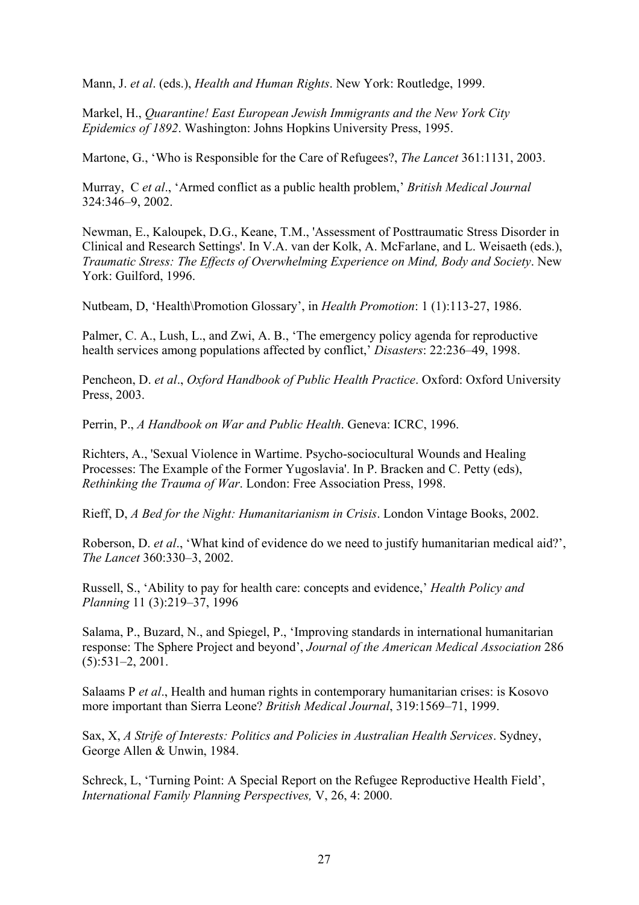Mann, J. *et al*. (eds.), *Health and Human Rights*. New York: Routledge, 1999.

Markel, H., *Quarantine! East European Jewish Immigrants and the New York City Epidemics of 1892*. Washington: Johns Hopkins University Press, 1995.

Martone, G., 'Who is Responsible for the Care of Refugees?, *The Lancet* 361:1131, 2003.

Murray, C *et al*., 'Armed conflict as a public health problem,' *British Medical Journal* 324:346–9, 2002.

Newman, E., Kaloupek, D.G., Keane, T.M., 'Assessment of Posttraumatic Stress Disorder in Clinical and Research Settings'. In V.A. van der Kolk, A. McFarlane, and L. Weisaeth (eds.), *Traumatic Stress: The Effects of Overwhelming Experience on Mind, Body and Society*. New York: Guilford, 1996.

Nutbeam, D, 'Health\Promotion Glossary', in *Health Promotion*: 1 (1):113-27, 1986.

Palmer, C. A., Lush, L., and Zwi, A. B., 'The emergency policy agenda for reproductive health services among populations affected by conflict,' *Disasters*: 22:236–49, 1998.

Pencheon, D. *et al*., *Oxford Handbook of Public Health Practice*. Oxford: Oxford University Press, 2003.

Perrin, P., *A Handbook on War and Public Health*. Geneva: ICRC, 1996.

Richters, A., 'Sexual Violence in Wartime. Psycho-sociocultural Wounds and Healing Processes: The Example of the Former Yugoslavia'. In P. Bracken and C. Petty (eds), *Rethinking the Trauma of War*. London: Free Association Press, 1998.

Rieff, D, *A Bed for the Night: Humanitarianism in Crisis*. London Vintage Books, 2002.

Roberson, D. *et al*., 'What kind of evidence do we need to justify humanitarian medical aid?', *The Lancet* 360:330–3, 2002.

Russell, S., 'Ability to pay for health care: concepts and evidence,' *Health Policy and Planning* 11 (3):219–37, 1996

Salama, P., Buzard, N., and Spiegel, P., 'Improving standards in international humanitarian response: The Sphere Project and beyond', *Journal of the American Medical Association* 286 (5):531–2, 2001.

Salaams P *et al*., Health and human rights in contemporary humanitarian crises: is Kosovo more important than Sierra Leone? *British Medical Journal*, 319:1569–71, 1999.

Sax, X, *A Strife of Interests: Politics and Policies in Australian Health Services*. Sydney, George Allen & Unwin, 1984.

Schreck, L, 'Turning Point: A Special Report on the Refugee Reproductive Health Field', *International Family Planning Perspectives,* V, 26, 4: 2000.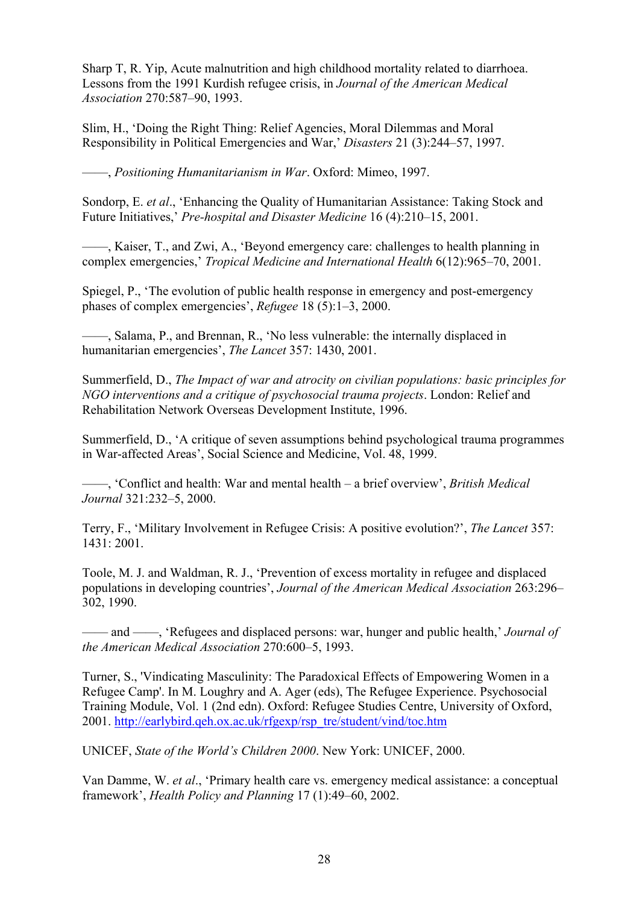Sharp T, R. Yip, Acute malnutrition and high childhood mortality related to diarrhoea. Lessons from the 1991 Kurdish refugee crisis, in *Journal of the American Medical Association* 270:587–90, 1993.

Slim, H., 'Doing the Right Thing: Relief Agencies, Moral Dilemmas and Moral Responsibility in Political Emergencies and War,' *Disasters* 21 (3):244–57, 1997.

——, *Positioning Humanitarianism in War*. Oxford: Mimeo, 1997.

Sondorp, E. *et al*., 'Enhancing the Quality of Humanitarian Assistance: Taking Stock and Future Initiatives,' *Pre-hospital and Disaster Medicine* 16 (4):210–15, 2001.

——, Kaiser, T., and Zwi, A., 'Beyond emergency care: challenges to health planning in complex emergencies,' *Tropical Medicine and International Health* 6(12):965–70, 2001.

Spiegel, P., 'The evolution of public health response in emergency and post-emergency phases of complex emergencies', *Refugee* 18 (5):1–3, 2000.

——, Salama, P., and Brennan, R., 'No less vulnerable: the internally displaced in humanitarian emergencies', *The Lancet* 357: 1430, 2001.

Summerfield, D., *The Impact of war and atrocity on civilian populations: basic principles for NGO interventions and a critique of psychosocial trauma projects*. London: Relief and Rehabilitation Network Overseas Development Institute, 1996.

Summerfield, D., 'A critique of seven assumptions behind psychological trauma programmes in War-affected Areas', Social Science and Medicine, Vol. 48, 1999.

——, 'Conflict and health: War and mental health – a brief overview', *British Medical Journal* 321:232–5, 2000.

Terry, F., 'Military Involvement in Refugee Crisis: A positive evolution?', *The Lancet* 357: 1431: 2001.

Toole, M. J. and Waldman, R. J., 'Prevention of excess mortality in refugee and displaced populations in developing countries', *Journal of the American Medical Association* 263:296– 302, 1990.

—— and ——, 'Refugees and displaced persons: war, hunger and public health,' *Journal of the American Medical Association* 270:600–5, 1993.

Turner, S., 'Vindicating Masculinity: The Paradoxical Effects of Empowering Women in a Refugee Camp'. In M. Loughry and A. Ager (eds), The Refugee Experience. Psychosocial Training Module, Vol. 1 (2nd edn). Oxford: Refugee Studies Centre, University of Oxford, 2001. [http://earlybird.qeh.ox.ac.uk/rfgexp/rsp\\_tre/student/vind/toc.htm](http://earlybird.qeh.ox.ac.uk/rfgexp/rsp_tre/student/vind/toc.htm)

UNICEF, *State of the World's Children 2000*. New York: UNICEF, 2000.

Van Damme, W. *et al*., 'Primary health care vs. emergency medical assistance: a conceptual framework', *Health Policy and Planning* 17 (1):49–60, 2002.